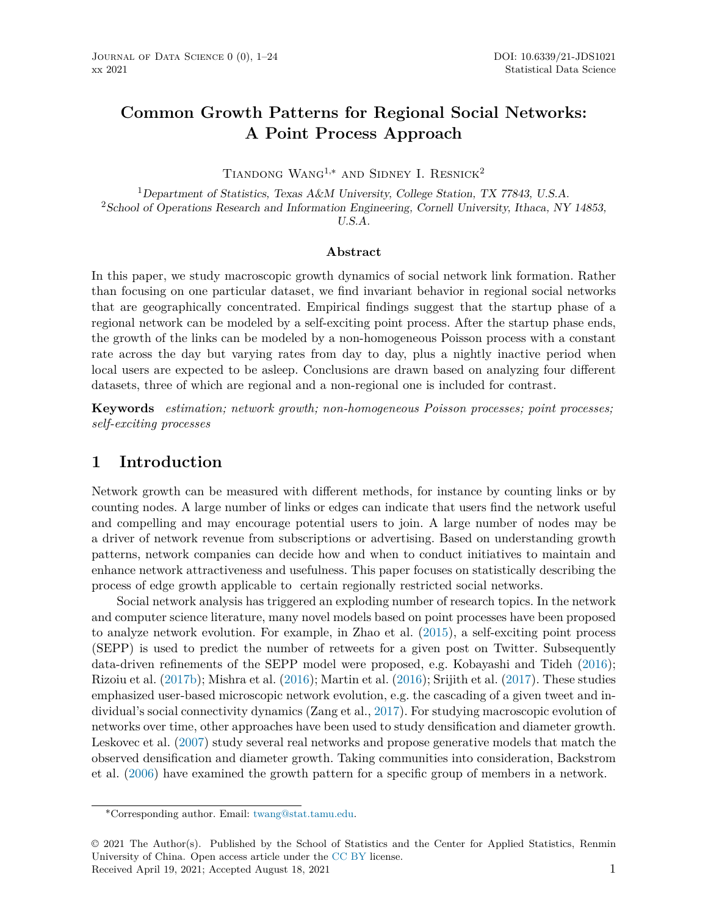# **Common Growth Patterns for Regional Social Networks: A Point Process Approach**

TIANDONG WANG<sup>1,\*</sup> AND SIDNEY I. RESNICK<sup>2</sup>

<sup>1</sup>*Department of Statistics, Texas A&M University, College Station, TX 77843, U.S.A.* <sup>2</sup>*School of Operations Research and Information Engineering, Cornell University, Ithaca, NY 14853, U.S.A.*

#### **Abstract**

In this paper, we study macroscopic growth dynamics of social network link formation. Rather than focusing on one particular dataset, we find invariant behavior in regional social networks that are geographically concentrated. Empirical findings suggest that the startup phase of a regional network can be modeled by a self-exciting point process. After the startup phase ends, the growth of the links can be modeled by a non-homogeneous Poisson process with a constant rate across the day but varying rates from day to day, plus a nightly inactive period when local users are expected to be asleep. Conclusions are drawn based on analyzing four different datasets, three of which are regional and a non-regional one is included for contrast.

**Keywords** *estimation; network growth; non-homogeneous Poisson processes; point processes; self-exciting processes*

## **1 Introduction**

Network growth can be measured with different methods, for instance by counting links or by counting nodes. A large number of links or edges can indicate that users find the network useful and compelling and may encourage potential users to join. A large number of nodes may be a driver of network revenue from subscriptions or advertising. Based on understanding growth patterns, network companies can decide how and when to conduct initiatives to maintain and enhance network attractiveness and usefulness. This paper focuses on statistically describing the process of edge growth applicable to certain regionally restricted social networks.

Social network analysis has triggered an exploding number of research topics. In the network and computer science literature, many novel models based on point processes have been proposed to analyze network evolution. For example, in Zhao et al. [\(2015\)](#page-23-0), a self-exciting point process (SEPP) is used to predict the number of retweets for a given post on Twitter. Subsequently data-driven refinements of the SEPP model were proposed, e.g. Kobayashi and Tideh ([2016\)](#page-21-0); Rizoiu et al. [\(2017b](#page-22-0)); Mishra et al. ([2016\)](#page-22-1); Martin et al. [\(2016](#page-22-2)); Srijith et al. ([2017\)](#page-22-3). These studies emphasized user-based microscopic network evolution, e.g. the cascading of a given tweet and individual's social connectivity dynamics (Zang et al., [2017](#page-23-1)). For studying macroscopic evolution of networks over time, other approaches have been used to study densification and diameter growth. Leskovec et al. ([2007\)](#page-21-1) study several real networks and propose generative models that match the observed densification and diameter growth. Taking communities into consideration, Backstrom et al. [\(2006](#page-21-2)) have examined the growth pattern for a specific group of members in a network.

<sup>∗</sup>Corresponding author. Email: [twang@stat.tamu.edu.](mailto:twang@stat.tamu.edu)

<sup>© 2021</sup> The Author(s). Published by the School of Statistics and the Center for Applied Statistics, Renmin University of China. Open access article under the [CC BY](https://creativecommons.org/licenses/by/4.0/) license. Received April 19, 2021; Accepted August 18, 2021 1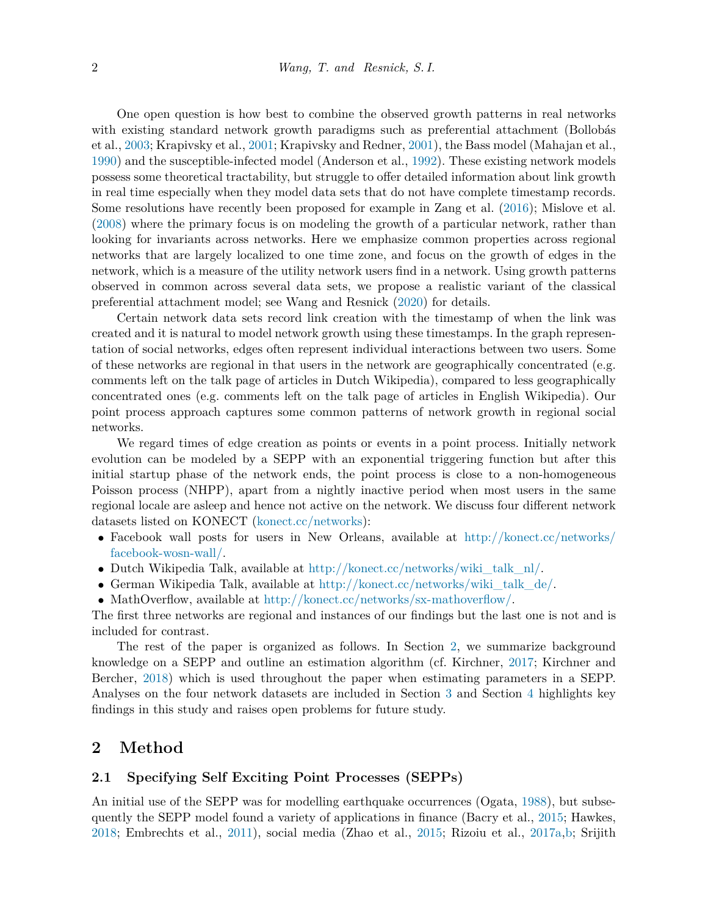One open question is how best to combine the observed growth patterns in real networks with existing standard network growth paradigms such as preferential attachment (Bollobás et al., [2003;](#page-21-3) Krapivsky et al., [2001;](#page-21-4) Krapivsky and Redner, [2001](#page-21-5)), the Bass model (Mahajan et al., [1990](#page-22-4)) and the susceptible-infected model (Anderson et al., [1992\)](#page-21-6). These existing network models possess some theoretical tractability, but struggle to offer detailed information about link growth in real time especially when they model data sets that do not have complete timestamp records. Some resolutions have recently been proposed for example in Zang et al. ([2016\)](#page-22-5); Mislove et al. [\(2008](#page-22-6)) where the primary focus is on modeling the growth of a particular network, rather than looking for invariants across networks. Here we emphasize common properties across regional networks that are largely localized to one time zone, and focus on the growth of edges in the network, which is a measure of the utility network users find in a network. Using growth patterns observed in common across several data sets, we propose a realistic variant of the classical preferential attachment model; see Wang and Resnick [\(2020\)](#page-22-7) for details.

Certain network data sets record link creation with the timestamp of when the link was created and it is natural to model network growth using these timestamps. In the graph representation of social networks, edges often represent individual interactions between two users. Some of these networks are regional in that users in the network are geographically concentrated (e.g. comments left on the talk page of articles in Dutch Wikipedia), compared to less geographically concentrated ones (e.g. comments left on the talk page of articles in English Wikipedia). Our point process approach captures some common patterns of network growth in regional social networks.

We regard times of edge creation as points or events in a point process. Initially network evolution can be modeled by a SEPP with an exponential triggering function but after this initial startup phase of the network ends, the point process is close to a non-homogeneous Poisson process (NHPP), apart from a nightly inactive period when most users in the same regional locale are asleep and hence not active on the network. We discuss four different network datasets listed on KONECT [\(konect.cc/networks\)](konect.cc/networks):

- Facebook wall posts for users in New Orleans, available at [http://konect.cc/networks/](http://konect.cc/networks/facebook-wosn-wall/) [facebook-wosn-wall/.](http://konect.cc/networks/facebook-wosn-wall/)
- Dutch Wikipedia Talk, available at [http://konect.cc/networks/wiki\\_talk\\_nl/.](http://konect.cc/networks/wiki_talk_nl/)
- German Wikipedia Talk, available at [http://konect.cc/networks/wiki\\_talk\\_de/](http://konect.cc/networks/wiki_talk_de/).
- MathOverflow, available at [http://konect.cc/networks/sx-mathoverflow/.](http://konect.cc/networks/sx-mathoverflow/)

The first three networks are regional and instances of our findings but the last one is not and is included for contrast.

The rest of the paper is organized as follows. In Section [2](#page-1-0), we summarize background knowledge on a SEPP and outline an estimation algorithm (cf. Kirchner, [2017;](#page-21-7) Kirchner and Bercher, [2018\)](#page-21-8) which is used throughout the paper when estimating parameters in a SEPP. Analyses on the four network datasets are included in Section [3](#page-4-0) and Section [4](#page-18-0) highlights key findings in this study and raises open problems for future study.

### <span id="page-1-0"></span>**2 Method**

#### **2.1 Specifying Self Exciting Point Processes (SEPPs)**

An initial use of the SEPP was for modelling earthquake occurrences (Ogata, [1988\)](#page-22-8), but subsequently the SEPP model found a variety of applications in finance (Bacry et al., [2015](#page-21-9); Hawkes, [2018](#page-21-10); Embrechts et al., [2011\)](#page-21-11), social media (Zhao et al., [2015;](#page-23-0) Rizoiu et al., [2017a,](#page-22-9)[b](#page-22-0); Srijith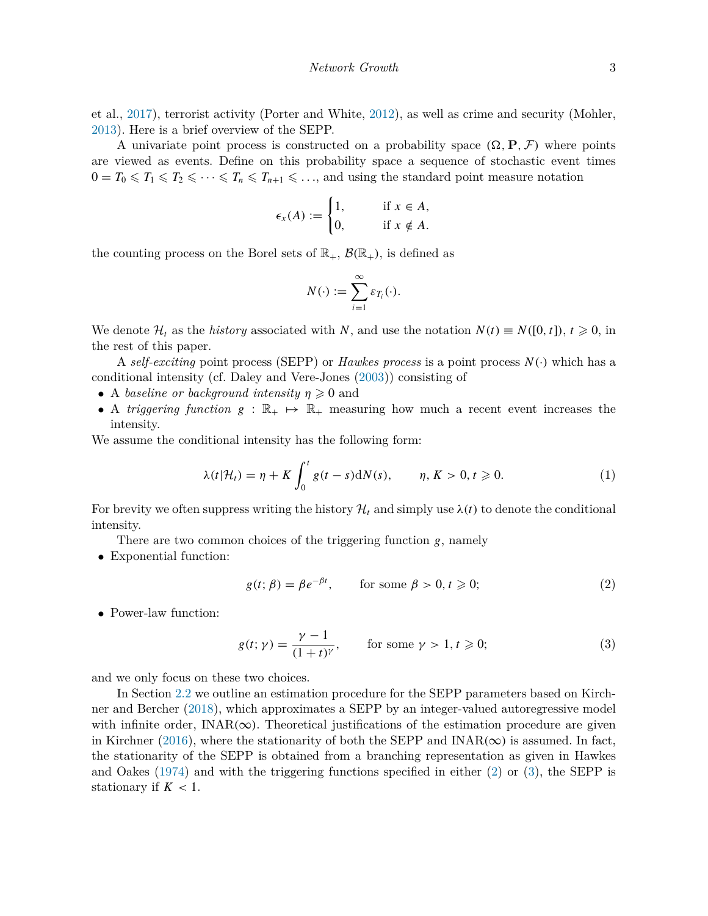et al., [2017\)](#page-22-3), terrorist activity (Porter and White, [2012](#page-22-10)), as well as crime and security (Mohler, [2013](#page-22-11)). Here is a brief overview of the SEPP.

A univariate point process is constructed on a probability space  $(\Omega, \mathbf{P}, \mathcal{F})$  where points are viewed as events. Define on this probability space a sequence of stochastic event times  $0 = T_0 \leq T_1 \leq T_2 \leq \cdots \leq T_n \leq T_{n+1} \leq \ldots$ , and using the standard point measure notation

$$
\epsilon_x(A) := \begin{cases} 1, & \text{if } x \in A, \\ 0, & \text{if } x \notin A. \end{cases}
$$

the counting process on the Borel sets of  $\mathbb{R}_+$ ,  $\mathcal{B}(\mathbb{R}_+)$ , is defined as

$$
N(\cdot) := \sum_{i=1}^{\infty} \varepsilon_{T_i}(\cdot).
$$

We denote  $\mathcal{H}_t$  as the *history* associated with *N*, and use the notation  $N(t) \equiv N([0, t])$ ,  $t \ge 0$ , in the rest of this paper.

A *self-exciting* point process (SEPP) or *Hawkes process* is a point process *N (*·*)* which has a conditional intensity (cf. Daley and Vere-Jones [\(2003](#page-21-12))) consisting of

- A *baseline or background intensity*  $\eta \geq 0$  and
- A *triggering function*  $g : \mathbb{R}_+ \to \mathbb{R}_+$  measuring how much a recent event increases the intensity.

We assume the conditional intensity has the following form:

<span id="page-2-2"></span>
$$
\lambda(t|\mathcal{H}_t) = \eta + K \int_0^t g(t-s) dN(s), \qquad \eta, K > 0, t \geq 0.
$$
 (1)

For brevity we often suppress writing the history  $\mathcal{H}_t$  and simply use  $\lambda(t)$  to denote the conditional intensity.

There are two common choices of the triggering function *g*, namely

• Exponential function:

<span id="page-2-0"></span>
$$
g(t; \beta) = \beta e^{-\beta t}, \qquad \text{for some } \beta > 0, t \geq 0;
$$
 (2)

• Power-law function:

<span id="page-2-1"></span>
$$
g(t; \gamma) = \frac{\gamma - 1}{(1 + t)^{\gamma}}, \qquad \text{for some } \gamma > 1, t \geq 0;
$$
 (3)

and we only focus on these two choices.

In Section [2.2](#page-3-0) we outline an estimation procedure for the SEPP parameters based on Kirchner and Bercher ([2018\)](#page-21-8), which approximates a SEPP by an integer-valued autoregressive model with infinite order,  $INAR(\infty)$ . Theoretical justifications of the estimation procedure are given in Kirchner ([2016\)](#page-21-13), where the stationarity of both the SEPP and  $INAR(\infty)$  is assumed. In fact, the stationarity of the SEPP is obtained from a branching representation as given in Hawkes and Oakes ([1974\)](#page-21-14) and with the triggering functions specified in either [\(2\)](#page-2-0) or ([3](#page-2-1)), the SEPP is stationary if  $K < 1$ .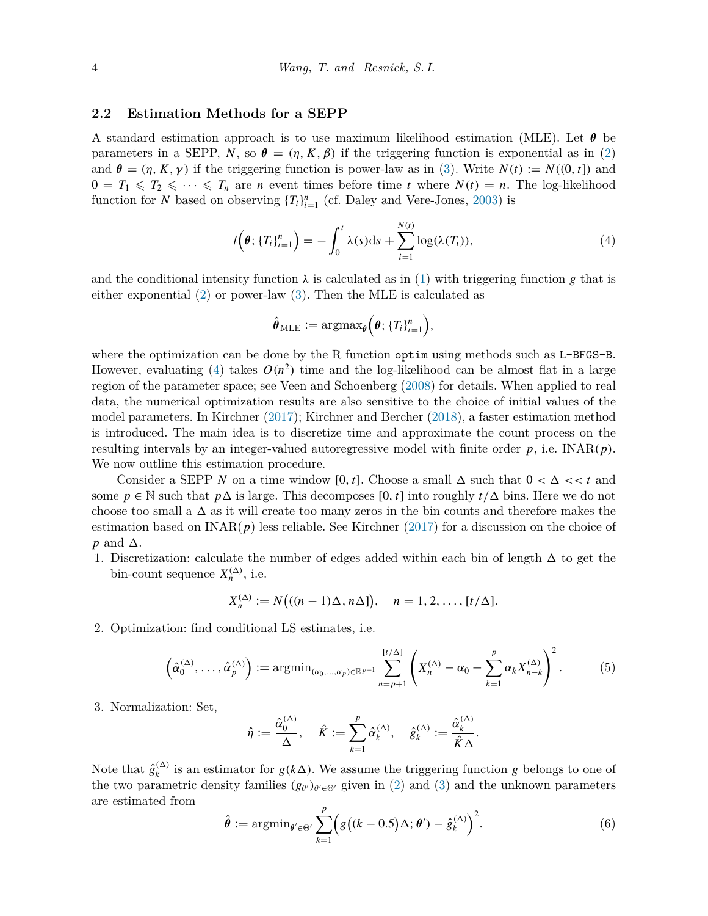#### <span id="page-3-0"></span>**2.2 Estimation Methods for a SEPP**

A standard estimation approach is to use maximum likelihood estimation (MLE). Let *θ* be parameters in a SEPP, *N*, so  $\theta = (\eta, K, \beta)$  if the triggering function is exponential as in [\(2\)](#page-2-0) and  $\theta = (\eta, K, \gamma)$  if the triggering function is power-law as in [\(3](#page-2-1)). Write  $N(t) := N((0, t])$  and  $0 = T_1 \leq T_2 \leq \cdots \leq T_n$  are *n* event times before time *t* where  $N(t) = n$ . The log-likelihood function for *N* based on observing  ${T_i}_{i=1}^n$  (cf. Daley and Vere-Jones, [2003\)](#page-21-12) is

<span id="page-3-1"></span>
$$
l\left(\boldsymbol{\theta}; \{T_i\}_{i=1}^n\right) = -\int_0^t \lambda(s) \mathrm{d}s + \sum_{i=1}^{N(t)} \log(\lambda(T_i)), \tag{4}
$$

and the conditional intensity function  $\lambda$  is calculated as in ([1](#page-2-2)) with triggering function *g* that is either exponential ([2](#page-2-0)) or power-law [\(3\)](#page-2-1). Then the MLE is calculated as

$$
\hat{\boldsymbol{\theta}}_{\text{MLE}} := \mathrm{argmax}_{\boldsymbol{\theta}} \left( \boldsymbol{\theta}; \{ T_i \}_{i=1}^n \right),
$$

where the optimization can be done by the R function optimusing methods such as L-BFGS-B. However, evaluating [\(4\)](#page-3-1) takes  $O(n^2)$  time and the log-likelihood can be almost flat in a large region of the parameter space; see Veen and Schoenberg ([2008](#page-22-12)) for details. When applied to real data, the numerical optimization results are also sensitive to the choice of initial values of the model parameters. In Kirchner [\(2017\)](#page-21-7); Kirchner and Bercher [\(2018](#page-21-8)), a faster estimation method is introduced. The main idea is to discretize time and approximate the count process on the resulting intervals by an integer-valued autoregressive model with finite order *p*, i.e. INAR*(p)*. We now outline this estimation procedure.

Consider a SEPP N on a time window [0, t]. Choose a small  $\Delta$  such that  $0 < \Delta \ll t$  and some  $p \in \mathbb{N}$  such that  $p\Delta$  is large. This decomposes [0, t] into roughly  $t/\Delta$  bins. Here we do not choose too small a  $\Delta$  as it will create too many zeros in the bin counts and therefore makes the estimation based on  $\text{INAR}(p)$  less reliable. See Kirchner [\(2017](#page-21-7)) for a discussion on the choice of  $p$  and  $\Delta$ .

1. Discretization: calculate the number of edges added within each bin of length  $\Delta$  to get the bin-count sequence  $X_n^{(\Delta)}$ , i.e.

$$
X_n^{(\Delta)} := N\big((n-1)\Delta, n\Delta\big), \quad n = 1, 2, \ldots, \lbrack t/\Delta \rbrack.
$$

2. Optimization: find conditional LS estimates, i.e.

<span id="page-3-3"></span>
$$
\left(\hat{\alpha}_0^{(\Delta)},\ldots,\hat{\alpha}_p^{(\Delta)}\right) := \operatorname{argmin}_{(\alpha_0,\ldots,\alpha_p)\in\mathbb{R}^{p+1}} \sum_{n=p+1}^{[t/\Delta]} \left(X_n^{(\Delta)} - \alpha_0 - \sum_{k=1}^p \alpha_k X_{n-k}^{(\Delta)}\right)^2. \tag{5}
$$

3. Normalization: Set,

$$
\hat{\eta} := \frac{\hat{\alpha}_0^{(\Delta)}}{\Delta}, \quad \hat{K} := \sum_{k=1}^p \hat{\alpha}_k^{(\Delta)}, \quad \hat{g}_k^{(\Delta)} := \frac{\hat{\alpha}_k^{(\Delta)}}{\hat{K}\Delta}.
$$

Note that  $\hat{g}_k^{(\Delta)}$  is an estimator for  $g(k\Delta)$ . We assume the triggering function *g* belongs to one of the two parametric density families  $(g_{\theta})_{\theta' \in \Theta'}$  given in ([2](#page-2-0)) and ([3](#page-2-1)) and the unknown parameters are estimated from

<span id="page-3-2"></span>
$$
\hat{\boldsymbol{\theta}} := \operatorname{argmin}_{\boldsymbol{\theta}' \in \Theta'} \sum_{k=1}^{p} \Big( g\big( (k-0.5) \Delta; \boldsymbol{\theta}') - \hat{g}_k^{(\Delta)} \Big)^2. \tag{6}
$$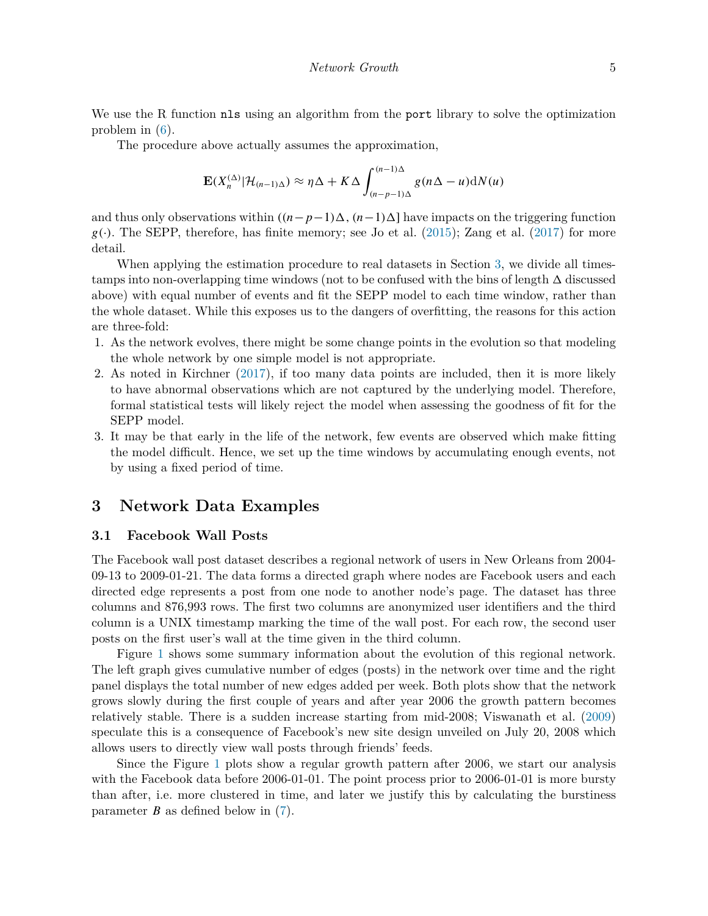We use the R function nls using an algorithm from the port library to solve the optimization problem in ([6](#page-3-2)).

The procedure above actually assumes the approximation,

$$
\mathbf{E}(X_n^{(\Delta)}|\mathcal{H}_{(n-1)\Delta}) \approx \eta \Delta + K\Delta \int_{(n-p-1)\Delta}^{(n-1)\Delta} g(n\Delta - u) dN(u)
$$

and thus only observations within  $((n-p-1)\Delta, (n-1)\Delta]$  have impacts on the triggering function  $g(\cdot)$ . The SEPP, therefore, has finite memory; see Jo et al. ([2015\)](#page-21-15); Zang et al. [\(2017\)](#page-23-1) for more detail.

When applying the estimation procedure to real datasets in Section [3](#page-4-0), we divide all timestamps into non-overlapping time windows (not to be confused with the bins of length  $\Delta$  discussed above) with equal number of events and fit the SEPP model to each time window, rather than the whole dataset. While this exposes us to the dangers of overfitting, the reasons for this action are three-fold:

- 1. As the network evolves, there might be some change points in the evolution so that modeling the whole network by one simple model is not appropriate.
- 2. As noted in Kirchner [\(2017\)](#page-21-7), if too many data points are included, then it is more likely to have abnormal observations which are not captured by the underlying model. Therefore, formal statistical tests will likely reject the model when assessing the goodness of fit for the SEPP model.
- 3. It may be that early in the life of the network, few events are observed which make fitting the model difficult. Hence, we set up the time windows by accumulating enough events, not by using a fixed period of time.

## <span id="page-4-0"></span>**3 Network Data Examples**

#### **3.1 Facebook Wall Posts**

The Facebook wall post dataset describes a regional network of users in New Orleans from 2004- 09-13 to 2009-01-21. The data forms a directed graph where nodes are Facebook users and each directed edge represents a post from one node to another node's page. The dataset has three columns and 876,993 rows. The first two columns are anonymized user identifiers and the third column is a UNIX timestamp marking the time of the wall post. For each row, the second user posts on the first user's wall at the time given in the third column.

Figure [1](#page-5-0) shows some summary information about the evolution of this regional network. The left graph gives cumulative number of edges (posts) in the network over time and the right panel displays the total number of new edges added per week. Both plots show that the network grows slowly during the first couple of years and after year 2006 the growth pattern becomes relatively stable. There is a sudden increase starting from mid-2008; Viswanath et al. ([2009\)](#page-22-13) speculate this is a consequence of Facebook's new site design unveiled on July 20, 2008 which allows users to directly view wall posts through friends' feeds.

Since the Figure [1](#page-5-0) plots show a regular growth pattern after 2006, we start our analysis with the Facebook data before 2006-01-01. The point process prior to 2006-01-01 is more bursty than after, i.e. more clustered in time, and later we justify this by calculating the burstiness parameter *B* as defined below in [\(7\)](#page-5-1).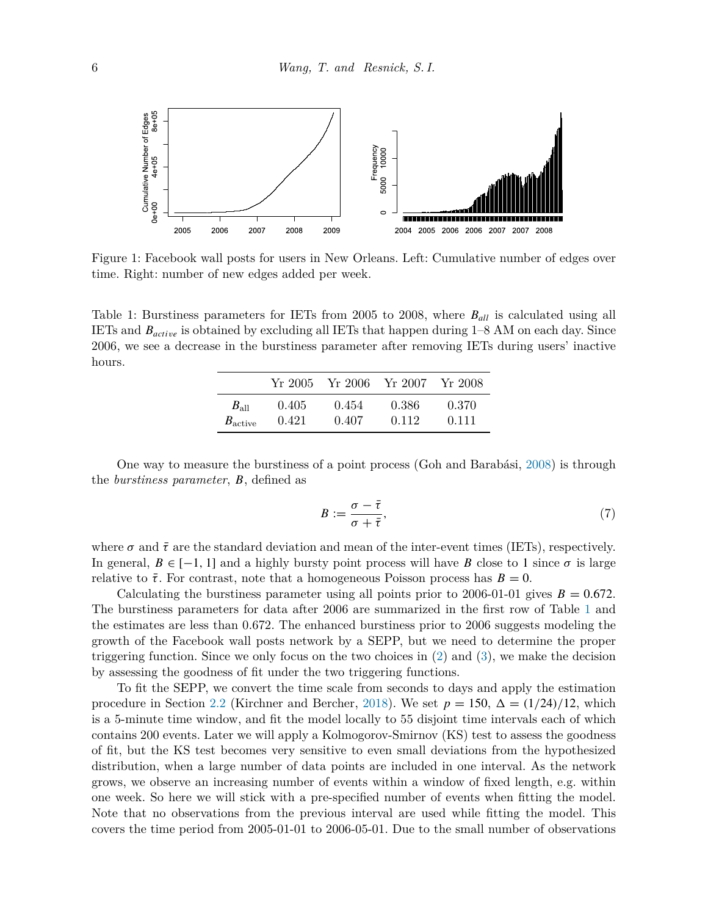

<span id="page-5-0"></span>Figure 1: Facebook wall posts for users in New Orleans. Left: Cumulative number of edges over time. Right: number of new edges added per week.

<span id="page-5-2"></span>Table 1: Burstiness parameters for IETs from 2005 to 2008, where *Ball* is calculated using all IETs and *Bactive* is obtained by excluding all IETs that happen during 1–8 AM on each day. Since 2006, we see a decrease in the burstiness parameter after removing IETs during users' inactive hours.

|                     | Yr 2005- | Yr 2006 Yr 2007 |       | Yr 2008 |
|---------------------|----------|-----------------|-------|---------|
| $B_{\rm all}$       | (1.405)  | 0.454           | 0.386 | 0.370   |
| $B_{\text{active}}$ | 0.421    | 0.407           | 0.112 | 0.111   |

One way to measure the burstiness of a point process (Goh and Barabási, [2008\)](#page-21-16) is through the *burstiness parameter*, *B*, defined as

<span id="page-5-1"></span>
$$
B := \frac{\sigma - \bar{\tau}}{\sigma + \bar{\tau}},\tag{7}
$$

where  $\sigma$  and  $\bar{\tau}$  are the standard deviation and mean of the inter-event times (IETs), respectively. In general,  $B \in [-1, 1]$  and a highly bursty point process will have *B* close to 1 since  $\sigma$  is large relative to  $\bar{\tau}$ . For contrast, note that a homogeneous Poisson process has  $B=0$ .

Calculating the burstiness parameter using all points prior to 2006-01-01 gives  $B = 0.672$ . The burstiness parameters for data after 2006 are summarized in the first row of Table [1](#page-5-2) and the estimates are less than 0.672. The enhanced burstiness prior to 2006 suggests modeling the growth of the Facebook wall posts network by a SEPP, but we need to determine the proper triggering function. Since we only focus on the two choices in ([2](#page-2-0)) and [\(3\)](#page-2-1), we make the decision by assessing the goodness of fit under the two triggering functions.

To fit the SEPP, we convert the time scale from seconds to days and apply the estimation procedure in Section [2.2](#page-3-0) (Kirchner and Bercher, [2018\)](#page-21-8). We set  $p = 150$ ,  $\Delta = (1/24)/12$ , which is a 5-minute time window, and fit the model locally to 55 disjoint time intervals each of which contains 200 events. Later we will apply a Kolmogorov-Smirnov (KS) test to assess the goodness of fit, but the KS test becomes very sensitive to even small deviations from the hypothesized distribution, when a large number of data points are included in one interval. As the network grows, we observe an increasing number of events within a window of fixed length, e.g. within one week. So here we will stick with a pre-specified number of events when fitting the model. Note that no observations from the previous interval are used while fitting the model. This covers the time period from 2005-01-01 to 2006-05-01. Due to the small number of observations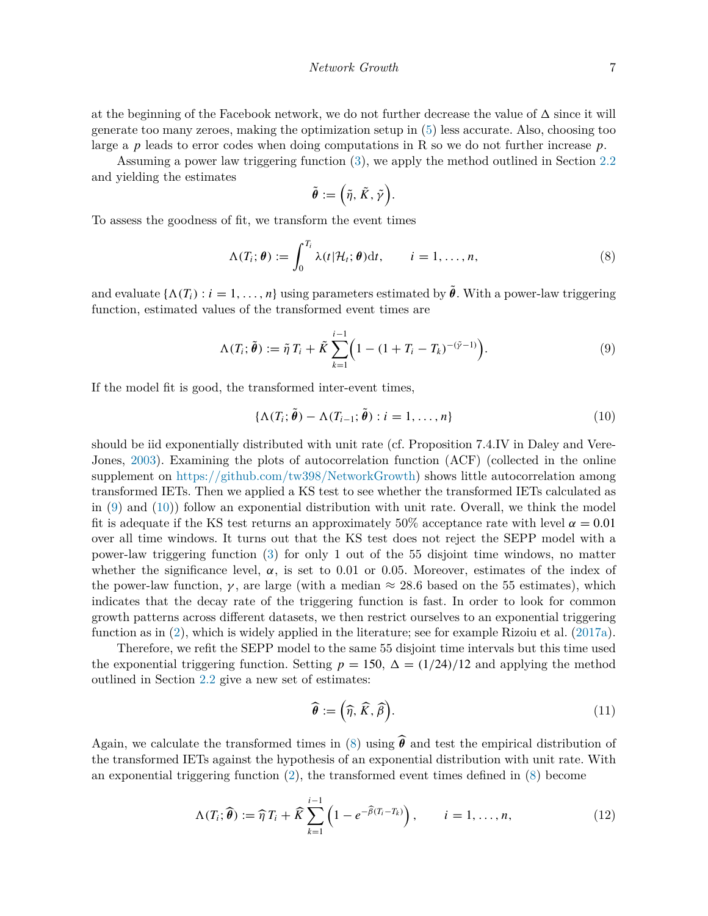at the beginning of the Facebook network, we do not further decrease the value of  $\Delta$  since it will generate too many zeroes, making the optimization setup in [\(5\)](#page-3-3) less accurate. Also, choosing too large a *p* leads to error codes when doing computations in R so we do not further increase *p*.

Assuming a power law triggering function ([3](#page-2-1)), we apply the method outlined in Section [2.2](#page-3-0) and yielding the estimates

$$
\tilde{\theta} := \Big(\tilde{\eta}, \tilde{K}, \tilde{\gamma}\Big).
$$

To assess the goodness of fit, we transform the event times

<span id="page-6-2"></span>
$$
\Lambda(T_i; \boldsymbol{\theta}) := \int_0^{T_i} \lambda(t | \mathcal{H}_t; \boldsymbol{\theta}) dt, \qquad i = 1, \dots, n,
$$
\n(8)

and evaluate  $\{\Lambda(T_i): i = 1, \ldots, n\}$  using parameters estimated by  $\tilde{\theta}$ . With a power-law triggering function, estimated values of the transformed event times are

<span id="page-6-0"></span>
$$
\Lambda(T_i; \tilde{\theta}) := \tilde{\eta} T_i + \tilde{K} \sum_{k=1}^{i-1} \Big( 1 - (1 + T_i - T_k)^{-(\tilde{\gamma}-1)} \Big). \tag{9}
$$

If the model fit is good, the transformed inter-event times,

<span id="page-6-1"></span>
$$
\{\Lambda(T_i; \tilde{\boldsymbol{\theta}}) - \Lambda(T_{i-1}; \tilde{\boldsymbol{\theta}}) : i = 1, \dots, n\}
$$
\n(10)

should be iid exponentially distributed with unit rate (cf. Proposition 7.4.IV in Daley and Vere-Jones, [2003\)](#page-21-12). Examining the plots of autocorrelation function (ACF) (collected in the online supplement on <https://github.com/tw398/NetworkGrowth>) shows little autocorrelation among transformed IETs. Then we applied a KS test to see whether the transformed IETs calculated as in [\(9\)](#page-6-0) and ([10\)](#page-6-1)) follow an exponential distribution with unit rate. Overall, we think the model fit is adequate if the KS test returns an approximately 50% acceptance rate with level  $\alpha = 0.01$ over all time windows. It turns out that the KS test does not reject the SEPP model with a power-law triggering function [\(3\)](#page-2-1) for only 1 out of the 55 disjoint time windows, no matter whether the significance level,  $\alpha$ , is set to 0.01 or 0.05. Moreover, estimates of the index of the power-law function,  $\gamma$ , are large (with a median  $\approx 28.6$  based on the 55 estimates), which indicates that the decay rate of the triggering function is fast. In order to look for common growth patterns across different datasets, we then restrict ourselves to an exponential triggering function as in [\(2\)](#page-2-0), which is widely applied in the literature; see for example Rizoiu et al. [\(2017a\)](#page-22-9).

Therefore, we refit the SEPP model to the same 55 disjoint time intervals but this time used the exponential triggering function. Setting  $p = 150$ ,  $\Delta = (1/24)/12$  and applying the method outlined in Section [2.2](#page-3-0) give a new set of estimates:

<span id="page-6-3"></span>
$$
\widehat{\boldsymbol{\theta}} := (\widehat{\eta}, \widehat{K}, \widehat{\beta}). \tag{11}
$$

Again, we calculate the transformed times in ([8](#page-6-2)) using  $\hat{\theta}$  and test the empirical distribution of the transformed IETs against the hypothesis of an exponential distribution with unit rate. With an exponential triggering function ([2](#page-2-0)), the transformed event times defined in [\(8\)](#page-6-2) become

<span id="page-6-4"></span>
$$
\Lambda(T_i; \widehat{\boldsymbol{\theta}}) := \widehat{\eta} T_i + \widehat{K} \sum_{k=1}^{i-1} \left( 1 - e^{-\widehat{\beta}(T_i - T_k)} \right), \qquad i = 1, \dots, n,
$$
\n(12)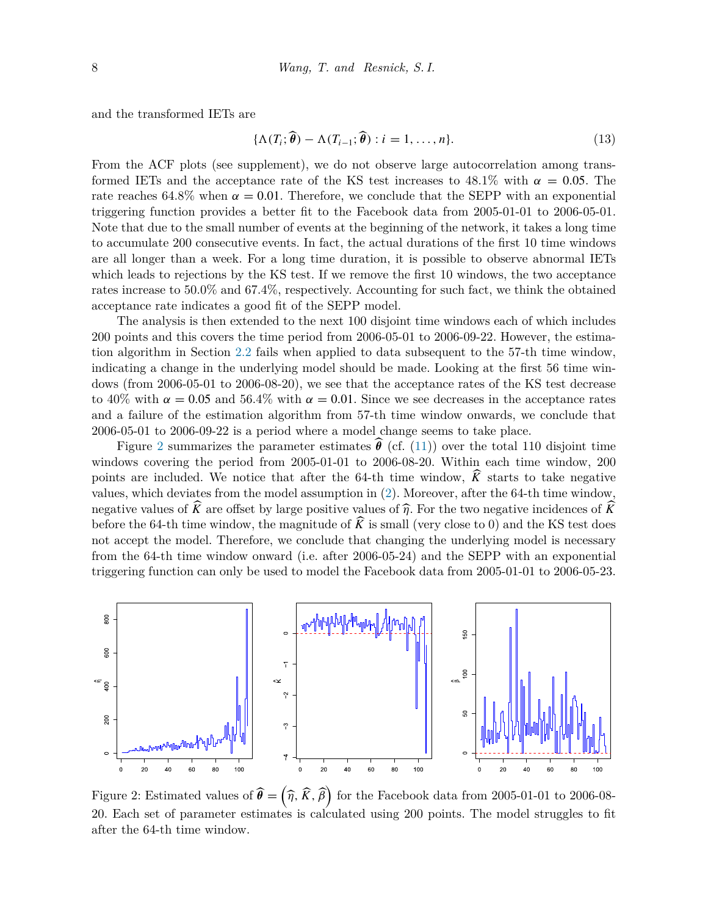and the transformed IETs are

<span id="page-7-1"></span>
$$
\{\Lambda(T_i; \widehat{\boldsymbol{\theta}}) - \Lambda(T_{i-1}; \widehat{\boldsymbol{\theta}}) : i = 1, \dots, n\}.
$$
\n(13)

From the ACF plots (see supplement), we do not observe large autocorrelation among transformed IETs and the acceptance rate of the KS test increases to  $48.1\%$  with  $\alpha = 0.05$ . The rate reaches 64.8% when  $\alpha = 0.01$ . Therefore, we conclude that the SEPP with an exponential triggering function provides a better fit to the Facebook data from 2005-01-01 to 2006-05-01. Note that due to the small number of events at the beginning of the network, it takes a long time to accumulate 200 consecutive events. In fact, the actual durations of the first 10 time windows are all longer than a week. For a long time duration, it is possible to observe abnormal IETs which leads to rejections by the KS test. If we remove the first 10 windows, the two acceptance rates increase to 50.0% and 67.4%, respectively. Accounting for such fact, we think the obtained acceptance rate indicates a good fit of the SEPP model.

The analysis is then extended to the next 100 disjoint time windows each of which includes 200 points and this covers the time period from 2006-05-01 to 2006-09-22. However, the estimation algorithm in Section [2.2](#page-3-0) fails when applied to data subsequent to the 57-th time window, indicating a change in the underlying model should be made. Looking at the first 56 time windows (from 2006-05-01 to 2006-08-20), we see that the acceptance rates of the KS test decrease to 40% with  $\alpha = 0.05$  and 56.4% with  $\alpha = 0.01$ . Since we see decreases in the acceptance rates and a failure of the estimation algorithm from 57-th time window onwards, we conclude that 2006-05-01 to 2006-09-22 is a period where a model change seems to take place.

Figure [2](#page-7-0) summarizes the parameter estimates  $\hat{\theta}$  (cf. ([11\)](#page-6-3)) over the total 110 disjoint time windows covering the period from 2005-01-01 to 2006-08-20. Within each time window, 200 points are included. We notice that after the 64-th time window,  $\hat{K}$  starts to take negative values, which deviates from the model assumption in [\(2\)](#page-2-0). Moreover, after the 64-th time window, negative values of  $\widehat{K}$  are offset by large positive values of  $\widehat{n}$ . For the two negative incidences of  $\widehat{K}$ before the 64-th time window, the magnitude of  $\widehat{K}$  is small (very close to 0) and the KS test does not accept the model. Therefore, we conclude that changing the underlying model is necessary from the 64-th time window onward (i.e. after 2006-05-24) and the SEPP with an exponential triggering function can only be used to model the Facebook data from 2005-01-01 to 2006-05-23.



<span id="page-7-0"></span>Figure 2: Estimated values of  $\widehat{\boldsymbol{\theta}} = (\widehat{\eta}, \widehat{K}, \widehat{\beta})$ for the Facebook data from 2005-01-01 to 2006-08-20. Each set of parameter estimates is calculated using 200 points. The model struggles to fit after the 64-th time window.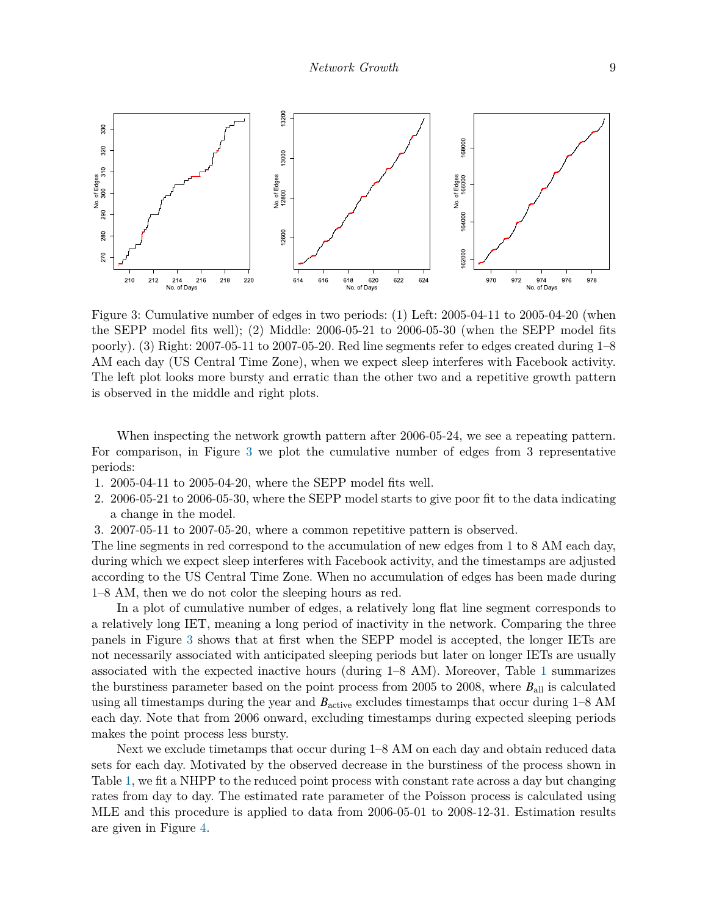

<span id="page-8-0"></span>Figure 3: Cumulative number of edges in two periods: (1) Left: 2005-04-11 to 2005-04-20 (when the SEPP model fits well); (2) Middle: 2006-05-21 to 2006-05-30 (when the SEPP model fits poorly). (3) Right: 2007-05-11 to 2007-05-20. Red line segments refer to edges created during 1–8 AM each day (US Central Time Zone), when we expect sleep interferes with Facebook activity. The left plot looks more bursty and erratic than the other two and a repetitive growth pattern is observed in the middle and right plots.

When inspecting the network growth pattern after 2006-05-24, we see a repeating pattern. For comparison, in Figure [3](#page-8-0) we plot the cumulative number of edges from 3 representative periods:

- 1. 2005-04-11 to 2005-04-20, where the SEPP model fits well.
- 2. 2006-05-21 to 2006-05-30, where the SEPP model starts to give poor fit to the data indicating a change in the model.
- 3. 2007-05-11 to 2007-05-20, where a common repetitive pattern is observed.

The line segments in red correspond to the accumulation of new edges from 1 to 8 AM each day, during which we expect sleep interferes with Facebook activity, and the timestamps are adjusted according to the US Central Time Zone. When no accumulation of edges has been made during 1–8 AM, then we do not color the sleeping hours as red.

In a plot of cumulative number of edges, a relatively long flat line segment corresponds to a relatively long IET, meaning a long period of inactivity in the network. Comparing the three panels in Figure [3](#page-8-0) shows that at first when the SEPP model is accepted, the longer IETs are not necessarily associated with anticipated sleeping periods but later on longer IETs are usually associated with the expected inactive hours (during 1–8 AM). Moreover, Table [1](#page-5-2) summarizes the burstiness parameter based on the point process from 2005 to 2008, where *B*all is calculated using all timestamps during the year and  $B_{\text{active}}$  excludes timestamps that occur during  $1-8$  AM each day. Note that from 2006 onward, excluding timestamps during expected sleeping periods makes the point process less bursty.

Next we exclude timetamps that occur during 1–8 AM on each day and obtain reduced data sets for each day. Motivated by the observed decrease in the burstiness of the process shown in Table [1,](#page-5-2) we fit a NHPP to the reduced point process with constant rate across a day but changing rates from day to day. The estimated rate parameter of the Poisson process is calculated using MLE and this procedure is applied to data from 2006-05-01 to 2008-12-31. Estimation results are given in Figure [4.](#page-9-0)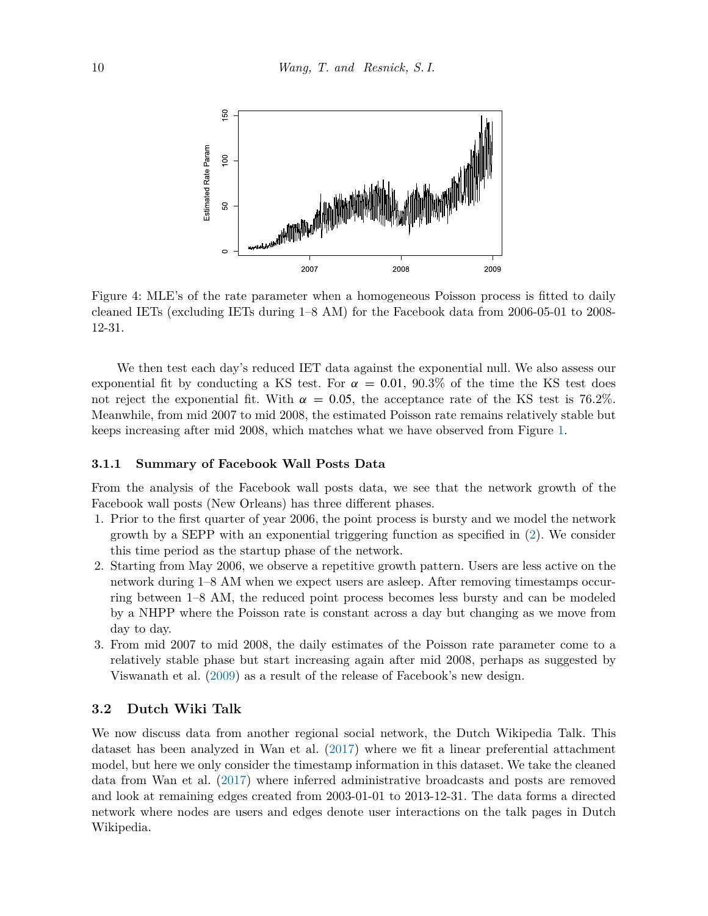

<span id="page-9-0"></span>Figure 4: MLE's of the rate parameter when a homogeneous Poisson process is fitted to daily cleaned IETs (excluding IETs during 1–8 AM) for the Facebook data from 2006-05-01 to 2008- 12-31.

We then test each day's reduced IET data against the exponential null. We also assess our exponential fit by conducting a KS test. For  $\alpha = 0.01$ , 90.3% of the time the KS test does not reject the exponential fit. With  $\alpha = 0.05$ , the acceptance rate of the KS test is 76.2%. Meanwhile, from mid 2007 to mid 2008, the estimated Poisson rate remains relatively stable but keeps increasing after mid 2008, which matches what we have observed from Figure [1.](#page-5-0)

#### **3.1.1 Summary of Facebook Wall Posts Data**

From the analysis of the Facebook wall posts data, we see that the network growth of the Facebook wall posts (New Orleans) has three different phases.

- 1. Prior to the first quarter of year 2006, the point process is bursty and we model the network growth by a SEPP with an exponential triggering function as specified in [\(2\)](#page-2-0). We consider this time period as the startup phase of the network.
- 2. Starting from May 2006, we observe a repetitive growth pattern. Users are less active on the network during 1–8 AM when we expect users are asleep. After removing timestamps occurring between 1–8 AM, the reduced point process becomes less bursty and can be modeled by a NHPP where the Poisson rate is constant across a day but changing as we move from day to day.
- 3. From mid 2007 to mid 2008, the daily estimates of the Poisson rate parameter come to a relatively stable phase but start increasing again after mid 2008, perhaps as suggested by Viswanath et al. ([2009\)](#page-22-13) as a result of the release of Facebook's new design.

#### **3.2 Dutch Wiki Talk**

We now discuss data from another regional social network, the Dutch Wikipedia Talk. This dataset has been analyzed in Wan et al. ([2017\)](#page-22-14) where we fit a linear preferential attachment model, but here we only consider the timestamp information in this dataset. We take the cleaned data from Wan et al. [\(2017](#page-22-14)) where inferred administrative broadcasts and posts are removed and look at remaining edges created from 2003-01-01 to 2013-12-31. The data forms a directed network where nodes are users and edges denote user interactions on the talk pages in Dutch Wikipedia.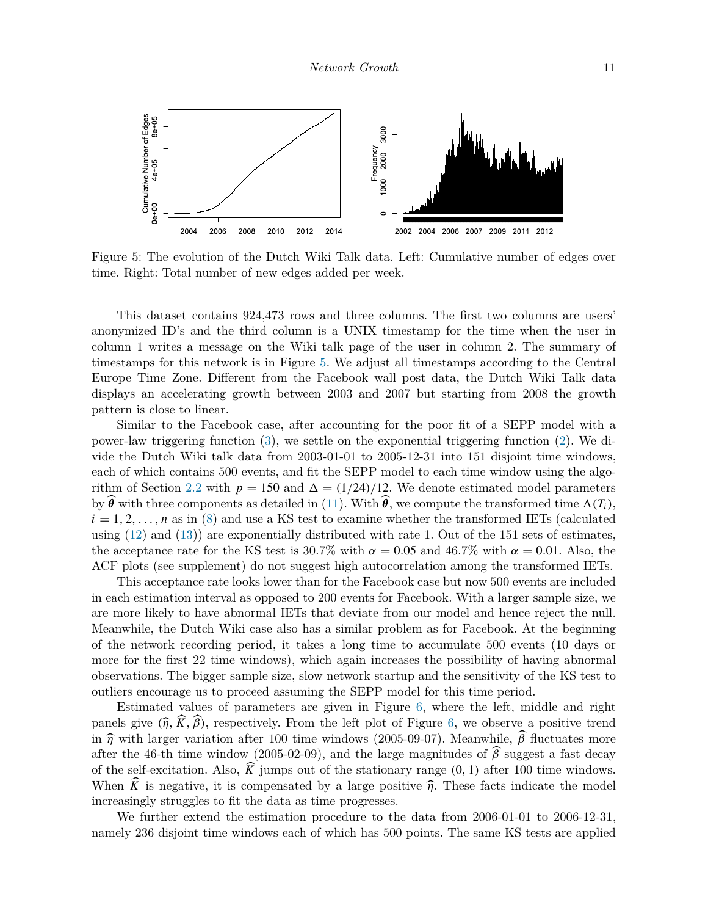

<span id="page-10-0"></span>Figure 5: The evolution of the Dutch Wiki Talk data. Left: Cumulative number of edges over time. Right: Total number of new edges added per week.

This dataset contains 924,473 rows and three columns. The first two columns are users' anonymized ID's and the third column is a UNIX timestamp for the time when the user in column 1 writes a message on the Wiki talk page of the user in column 2. The summary of timestamps for this network is in Figure [5](#page-10-0). We adjust all timestamps according to the Central Europe Time Zone. Different from the Facebook wall post data, the Dutch Wiki Talk data displays an accelerating growth between 2003 and 2007 but starting from 2008 the growth pattern is close to linear.

Similar to the Facebook case, after accounting for the poor fit of a SEPP model with a power-law triggering function [\(3\)](#page-2-1), we settle on the exponential triggering function ([2](#page-2-0)). We divide the Dutch Wiki talk data from 2003-01-01 to 2005-12-31 into 151 disjoint time windows, each of which contains 500 events, and fit the SEPP model to each time window using the algo-rithm of Section [2.2](#page-3-0) with  $p = 150$  and  $\Delta = (1/24)/12$ . We denote estimated model parameters by  $\widehat{\theta}$  with three components as detailed in [\(11](#page-6-3)). With  $\widehat{\theta}$ , we compute the transformed time  $\Lambda(T_i)$ ,  $i = 1, 2, \ldots, n$  as in [\(8\)](#page-6-2) and use a KS test to examine whether the transformed IETs (calculated using  $(12)$  $(12)$  and  $(13)$  $(13)$  are exponentially distributed with rate 1. Out of the 151 sets of estimates, the acceptance rate for the KS test is  $30.7\%$  with  $\alpha = 0.05$  and  $46.7\%$  with  $\alpha = 0.01$ . Also, the ACF plots (see supplement) do not suggest high autocorrelation among the transformed IETs.

This acceptance rate looks lower than for the Facebook case but now 500 events are included in each estimation interval as opposed to 200 events for Facebook. With a larger sample size, we are more likely to have abnormal IETs that deviate from our model and hence reject the null. Meanwhile, the Dutch Wiki case also has a similar problem as for Facebook. At the beginning of the network recording period, it takes a long time to accumulate 500 events (10 days or more for the first 22 time windows), which again increases the possibility of having abnormal observations. The bigger sample size, slow network startup and the sensitivity of the KS test to outliers encourage us to proceed assuming the SEPP model for this time period.

Estimated values of parameters are given in Figure [6](#page-11-0), where the left, middle and right panels give  $(\hat{\eta}, \hat{K}, \hat{\beta})$ , respectively. From the left plot of Figure [6,](#page-11-0) we observe a positive trend in  $\hat{\eta}$  with larger variation after 100 time windows (2005-09-07). Meanwhile,  $\hat{\beta}$  fluctuates more after the 46-th time window (2005-02-09), and the large magnitudes of  $\beta$  suggest a fast decay of the self-excitation. Also,  $\widehat{K}$  jumps out of the stationary range  $(0, 1)$  after 100 time windows. When  $\widehat{K}$  is negative, it is compensated by a large positive  $\widehat{\eta}$ . These facts indicate the model increasingly struggles to fit the data as time progresses.

We further extend the estimation procedure to the data from 2006-01-01 to 2006-12-31, namely 236 disjoint time windows each of which has 500 points. The same KS tests are applied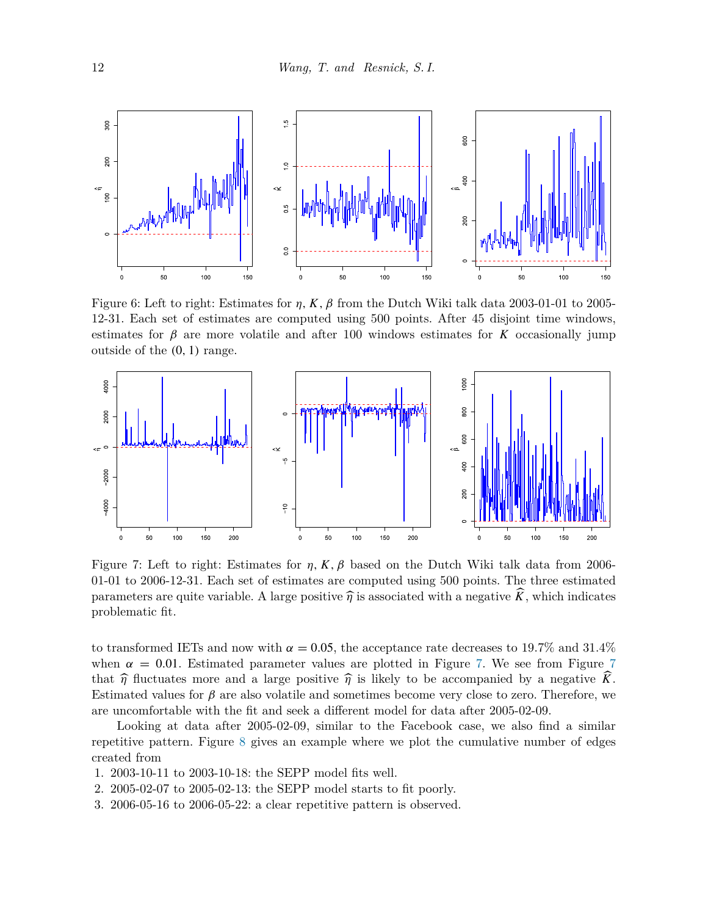

<span id="page-11-0"></span>Figure 6: Left to right: Estimates for *η, K, β* from the Dutch Wiki talk data 2003-01-01 to 2005- 12-31. Each set of estimates are computed using 500 points. After 45 disjoint time windows, estimates for  $\beta$  are more volatile and after 100 windows estimates for *K* occasionally jump outside of the *(*0*,* 1*)* range.



<span id="page-11-1"></span>Figure 7: Left to right: Estimates for  $\eta$ , K,  $\beta$  based on the Dutch Wiki talk data from 2006-01-01 to 2006-12-31. Each set of estimates are computed using 500 points. The three estimated parameters are quite variable. A large positive  $\hat{\eta}$  is associated with a negative  $\hat{K}$ , which indicates problematic fit.

to transformed IETs and now with  $\alpha = 0.05$ , the acceptance rate decreases to 19.7% and 31.4% when  $\alpha = 0.01$ . Estimated parameter values are plotted in Figure [7](#page-11-1). We see from Figure 7 that  $\hat{\eta}$  fluctuates more and a large positive  $\hat{\eta}$  is likely to be accompanied by a negative K. Estimated values for  $\beta$  are also volatile and sometimes become very close to zero. Therefore, we are uncomfortable with the fit and seek a different model for data after 2005-02-09.

Looking at data after 2005-02-09, similar to the Facebook case, we also find a similar repetitive pattern. Figure [8](#page-12-0) gives an example where we plot the cumulative number of edges created from

- 1. 2003-10-11 to 2003-10-18: the SEPP model fits well.
- 2. 2005-02-07 to 2005-02-13: the SEPP model starts to fit poorly.
- 3. 2006-05-16 to 2006-05-22: a clear repetitive pattern is observed.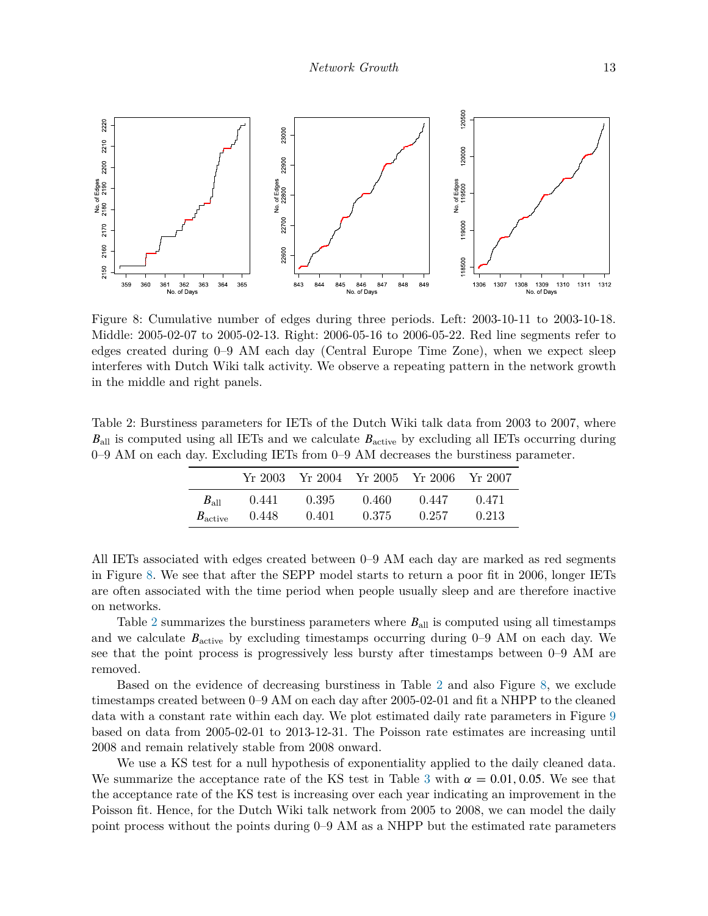

<span id="page-12-0"></span>Figure 8: Cumulative number of edges during three periods. Left: 2003-10-11 to 2003-10-18. Middle: 2005-02-07 to 2005-02-13. Right: 2006-05-16 to 2006-05-22. Red line segments refer to edges created during 0–9 AM each day (Central Europe Time Zone), when we expect sleep interferes with Dutch Wiki talk activity. We observe a repeating pattern in the network growth in the middle and right panels.

<span id="page-12-1"></span>Table 2: Burstiness parameters for IETs of the Dutch Wiki talk data from 2003 to 2007, where *B*<sub>all</sub> is computed using all IETs and we calculate *B*<sub>active</sub> by excluding all IETs occurring during 0–9 AM on each day. Excluding IETs from 0–9 AM decreases the burstiness parameter.

|                     | Yr 2003 - |       |       | Yr 2004 Yr 2005 Yr 2006 Yr 2007 |       |
|---------------------|-----------|-------|-------|---------------------------------|-------|
| $B_{\rm all}$       | 0.441     | 0.395 | 0.460 | 0.447                           | 0.471 |
| $B_{\text{active}}$ | 0.448     | 0.401 | 0.375 | 0.257                           | 0.213 |

All IETs associated with edges created between 0–9 AM each day are marked as red segments in Figure [8](#page-12-0). We see that after the SEPP model starts to return a poor fit in 2006, longer IETs are often associated with the time period when people usually sleep and are therefore inactive on networks.

Table [2](#page-12-1) summarizes the burstiness parameters where  $B_{all}$  is computed using all timestamps and we calculate  $B_{\text{active}}$  by excluding timestamps occurring during  $0-9$  AM on each day. We see that the point process is progressively less bursty after timestamps between 0–9 AM are removed.

Based on the evidence of decreasing burstiness in Table [2](#page-12-1) and also Figure [8,](#page-12-0) we exclude timestamps created between 0–9 AM on each day after 2005-02-01 and fit a NHPP to the cleaned data with a constant rate within each day. We plot estimated daily rate parameters in Figure [9](#page-13-0) based on data from 2005-02-01 to 2013-12-31. The Poisson rate estimates are increasing until 2008 and remain relatively stable from 2008 onward.

We use a KS test for a null hypothesis of exponentiality applied to the daily cleaned data. We summarize the acceptance rate of the KS test in Table [3](#page-13-1) with  $\alpha = 0.01, 0.05$ . We see that the acceptance rate of the KS test is increasing over each year indicating an improvement in the Poisson fit. Hence, for the Dutch Wiki talk network from 2005 to 2008, we can model the daily point process without the points during 0–9 AM as a NHPP but the estimated rate parameters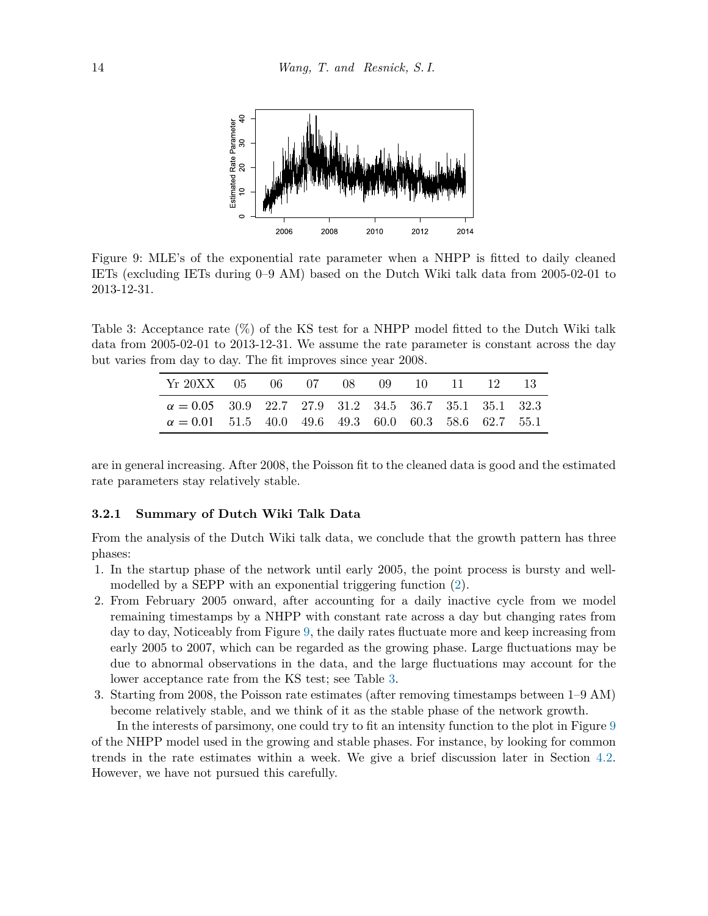

<span id="page-13-0"></span>Figure 9: MLE's of the exponential rate parameter when a NHPP is fitted to daily cleaned IETs (excluding IETs during 0–9 AM) based on the Dutch Wiki talk data from 2005-02-01 to 2013-12-31.

Table 3: Acceptance rate (%) of the KS test for a NHPP model fitted to the Dutch Wiki talk data from 2005-02-01 to 2013-12-31. We assume the rate parameter is constant across the day but varies from day to day. The fit improves since year 2008.

<span id="page-13-1"></span>

| Yr 20XX 05 06 07 08 09 10 11 12 13                           |  |  |  |  |  |
|--------------------------------------------------------------|--|--|--|--|--|
| $\alpha = 0.05$ 30.9 22.7 27.9 31.2 34.5 36.7 35.1 35.1 32.3 |  |  |  |  |  |
| $\alpha = 0.01$ 51.5 40.0 49.6 49.3 60.0 60.3 58.6 62.7 55.1 |  |  |  |  |  |

are in general increasing. After 2008, the Poisson fit to the cleaned data is good and the estimated rate parameters stay relatively stable.

#### **3.2.1 Summary of Dutch Wiki Talk Data**

From the analysis of the Dutch Wiki talk data, we conclude that the growth pattern has three phases:

- 1. In the startup phase of the network until early 2005, the point process is bursty and wellmodelled by a SEPP with an exponential triggering function [\(2\)](#page-2-0).
- 2. From February 2005 onward, after accounting for a daily inactive cycle from we model remaining timestamps by a NHPP with constant rate across a day but changing rates from day to day, Noticeably from Figure [9](#page-13-0), the daily rates fluctuate more and keep increasing from early 2005 to 2007, which can be regarded as the growing phase. Large fluctuations may be due to abnormal observations in the data, and the large fluctuations may account for the lower acceptance rate from the KS test; see Table [3.](#page-13-1)
- 3. Starting from 2008, the Poisson rate estimates (after removing timestamps between 1–9 AM) become relatively stable, and we think of it as the stable phase of the network growth.

In the interests of parsimony, one could try to fit an intensity function to the plot in Figure [9](#page-13-0) of the NHPP model used in the growing and stable phases. For instance, by looking for common trends in the rate estimates within a week. We give a brief discussion later in Section [4.2.](#page-19-0) However, we have not pursued this carefully.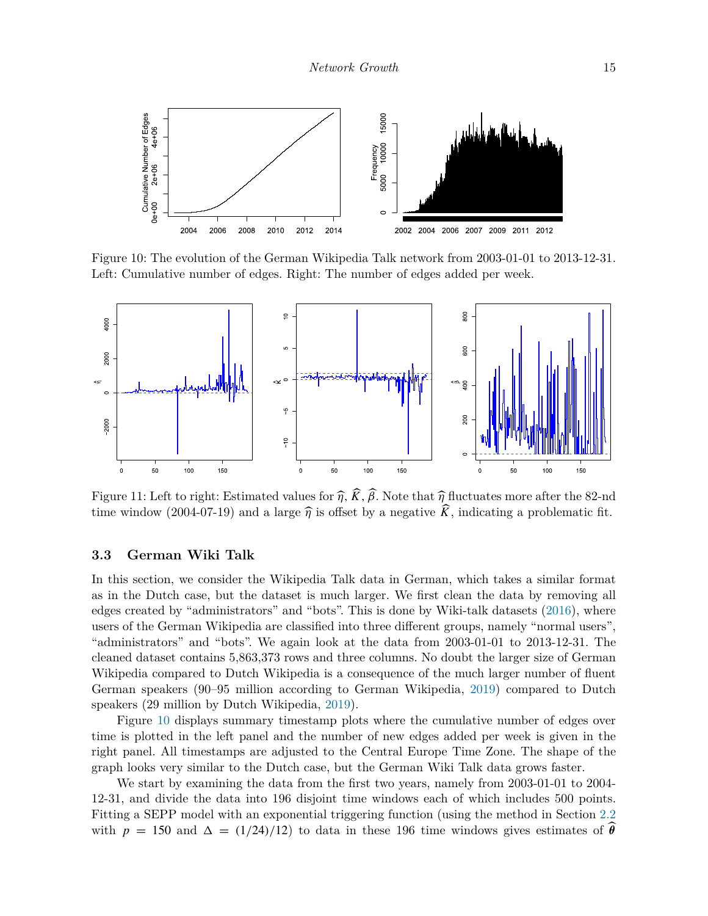

<span id="page-14-0"></span>Figure 10: The evolution of the German Wikipedia Talk network from 2003-01-01 to 2013-12-31. Left: Cumulative number of edges. Right: The number of edges added per week.



<span id="page-14-1"></span>Figure 11: Left to right: Estimated values for  $\hat{\eta}$ ,  $\hat{K}$ ,  $\hat{\beta}$ . Note that  $\hat{\eta}$  fluctuates more after the 82-nd time window (2004-07-19) and a large  $\hat{\eta}$  is offset by a negative  $\hat{K}$ , indicating a problematic fit.

#### **3.3 German Wiki Talk**

In this section, we consider the Wikipedia Talk data in German, which takes a similar format as in the Dutch case, but the dataset is much larger. We first clean the data by removing all edges created by "administrators" and "bots". This is done by Wiki-talk datasets [\(2016](#page-22-15)), where users of the German Wikipedia are classified into three different groups, namely "normal users", "administrators" and "bots". We again look at the data from 2003-01-01 to 2013-12-31. The cleaned dataset contains 5,863,373 rows and three columns. No doubt the larger size of German Wikipedia compared to Dutch Wikipedia is a consequence of the much larger number of fluent German speakers (90–95 million according to German Wikipedia, [2019\)](#page-22-16) compared to Dutch speakers (29 million by Dutch Wikipedia, [2019](#page-22-17)).

Figure [10](#page-14-0) displays summary timestamp plots where the cumulative number of edges over time is plotted in the left panel and the number of new edges added per week is given in the right panel. All timestamps are adjusted to the Central Europe Time Zone. The shape of the graph looks very similar to the Dutch case, but the German Wiki Talk data grows faster.

We start by examining the data from the first two years, namely from 2003-01-01 to 2004- 12-31, and divide the data into 196 disjoint time windows each of which includes 500 points. Fitting a SEPP model with an exponential triggering function (using the method in Section [2.2](#page-3-0) with  $p = 150$  and  $\Delta = (1/24)/12$  to data in these 196 time windows gives estimates of  $\theta$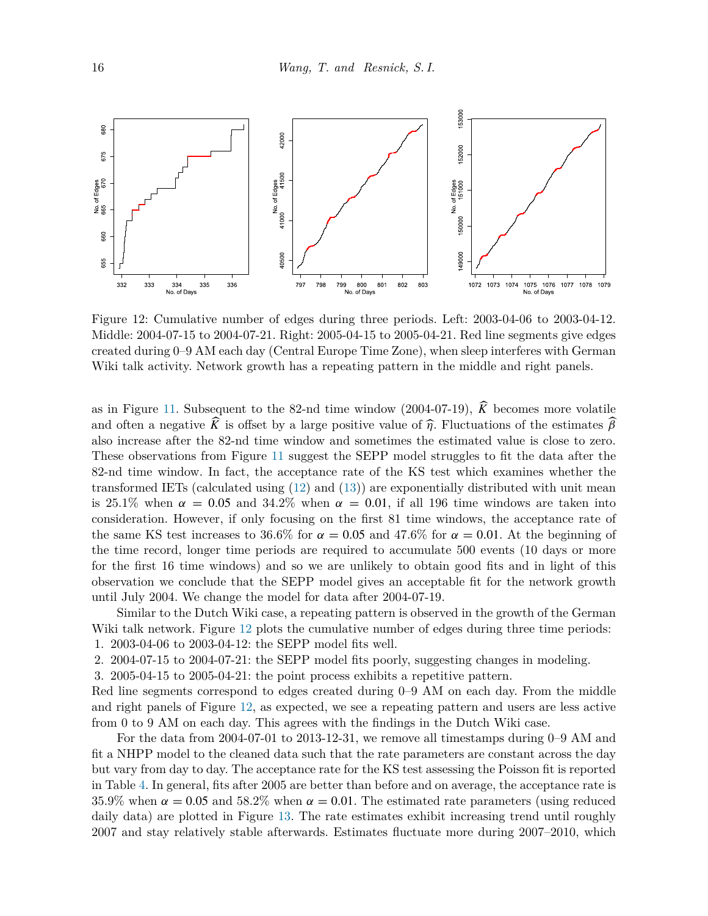

<span id="page-15-0"></span>Figure 12: Cumulative number of edges during three periods. Left: 2003-04-06 to 2003-04-12. Middle: 2004-07-15 to 2004-07-21. Right: 2005-04-15 to 2005-04-21. Red line segments give edges created during 0–9 AM each day (Central Europe Time Zone), when sleep interferes with German Wiki talk activity. Network growth has a repeating pattern in the middle and right panels.

as in Figure [11](#page-14-1). Subsequent to the 82-nd time window (2004-07-19),  $\hat{K}$  becomes more volatile and often a negative *K* is offset by a large positive value of  $\hat{\eta}$ . Fluctuations of the estimates  $\hat{\beta}$ also increase after the 82-nd time window and sometimes the estimated value is close to zero. These observations from Figure [11](#page-14-1) suggest the SEPP model struggles to fit the data after the 82-nd time window. In fact, the acceptance rate of the KS test which examines whether the transformed IETs (calculated using ([12\)](#page-6-4) and [\(13](#page-7-1))) are exponentially distributed with unit mean is 25.1% when  $\alpha = 0.05$  and 34.2% when  $\alpha = 0.01$ , if all 196 time windows are taken into consideration. However, if only focusing on the first 81 time windows, the acceptance rate of the same KS test increases to 36.6% for  $\alpha = 0.05$  and 47.6% for  $\alpha = 0.01$ . At the beginning of the time record, longer time periods are required to accumulate 500 events (10 days or more for the first 16 time windows) and so we are unlikely to obtain good fits and in light of this observation we conclude that the SEPP model gives an acceptable fit for the network growth until July 2004. We change the model for data after 2004-07-19.

Similar to the Dutch Wiki case, a repeating pattern is observed in the growth of the German Wiki talk network. Figure [12](#page-15-0) plots the cumulative number of edges during three time periods: 1. 2003-04-06 to 2003-04-12: the SEPP model fits well.

2. 2004-07-15 to 2004-07-21: the SEPP model fits poorly, suggesting changes in modeling.

3. 2005-04-15 to 2005-04-21: the point process exhibits a repetitive pattern.

Red line segments correspond to edges created during 0–9 AM on each day. From the middle and right panels of Figure [12](#page-15-0), as expected, we see a repeating pattern and users are less active from 0 to 9 AM on each day. This agrees with the findings in the Dutch Wiki case.

For the data from 2004-07-01 to 2013-12-31, we remove all timestamps during 0–9 AM and fit a NHPP model to the cleaned data such that the rate parameters are constant across the day but vary from day to day. The acceptance rate for the KS test assessing the Poisson fit is reported in Table [4.](#page-16-0) In general, fits after 2005 are better than before and on average, the acceptance rate is 35.9% when  $\alpha = 0.05$  and 58.2% when  $\alpha = 0.01$ . The estimated rate parameters (using reduced daily data) are plotted in Figure [13](#page-16-1). The rate estimates exhibit increasing trend until roughly 2007 and stay relatively stable afterwards. Estimates fluctuate more during 2007–2010, which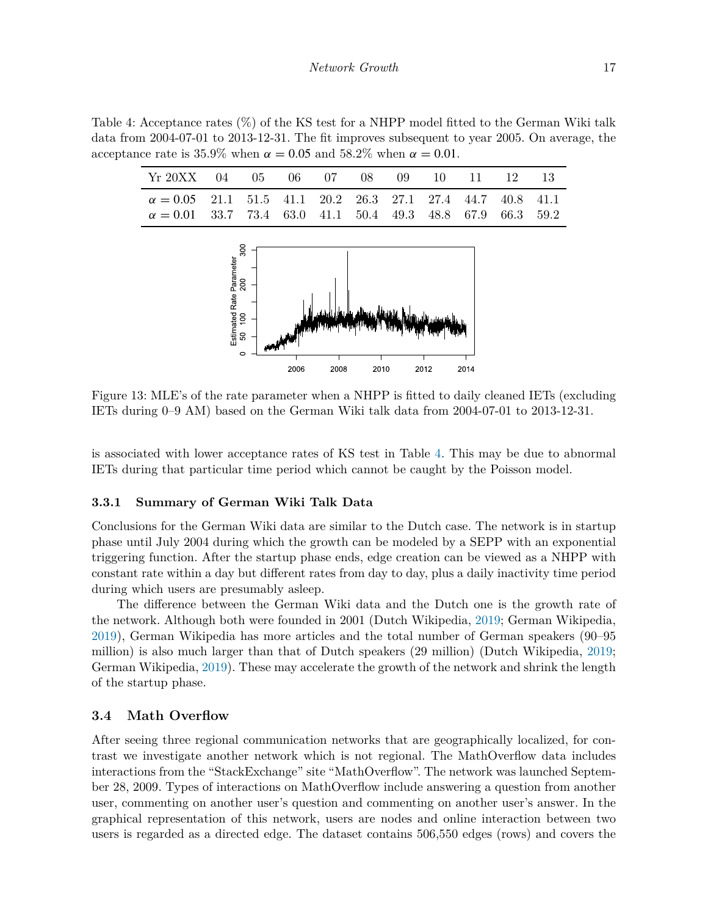Table 4: Acceptance rates (%) of the KS test for a NHPP model fitted to the German Wiki talk data from 2004-07-01 to 2013-12-31. The fit improves subsequent to year 2005. On average, the acceptance rate is  $35.9\%$  when  $\alpha = 0.05$  and  $58.2\%$  when  $\alpha = 0.01$ .

<span id="page-16-0"></span>

| Yr 20XX 04 05 06 07 08 09 10 11 12 13                             |  |  |  |  |  |
|-------------------------------------------------------------------|--|--|--|--|--|
| $\alpha = 0.05$ 21.1 51.5 41.1 20.2 26.3 27.1 27.4 44.7 40.8 41.1 |  |  |  |  |  |
| $\alpha = 0.01$ 33.7 73.4 63.0 41.1 50.4 49.3 48.8 67.9 66.3 59.2 |  |  |  |  |  |



<span id="page-16-1"></span>Figure 13: MLE's of the rate parameter when a NHPP is fitted to daily cleaned IETs (excluding IETs during 0–9 AM) based on the German Wiki talk data from 2004-07-01 to 2013-12-31.

is associated with lower acceptance rates of KS test in Table [4.](#page-16-0) This may be due to abnormal IETs during that particular time period which cannot be caught by the Poisson model.

#### **3.3.1 Summary of German Wiki Talk Data**

Conclusions for the German Wiki data are similar to the Dutch case. The network is in startup phase until July 2004 during which the growth can be modeled by a SEPP with an exponential triggering function. After the startup phase ends, edge creation can be viewed as a NHPP with constant rate within a day but different rates from day to day, plus a daily inactivity time period during which users are presumably asleep.

The difference between the German Wiki data and the Dutch one is the growth rate of the network. Although both were founded in 2001 (Dutch Wikipedia, [2019;](#page-22-18) German Wikipedia, [2019](#page-22-19)), German Wikipedia has more articles and the total number of German speakers (90–95 million) is also much larger than that of Dutch speakers (29 million) (Dutch Wikipedia, [2019;](#page-22-17) German Wikipedia, [2019\)](#page-22-16). These may accelerate the growth of the network and shrink the length of the startup phase.

#### **3.4 Math Overflow**

After seeing three regional communication networks that are geographically localized, for contrast we investigate another network which is not regional. The MathOverflow data includes interactions from the "StackExchange" site "MathOverflow". The network was launched September 28, 2009. Types of interactions on MathOverflow include answering a question from another user, commenting on another user's question and commenting on another user's answer. In the graphical representation of this network, users are nodes and online interaction between two users is regarded as a directed edge. The dataset contains 506,550 edges (rows) and covers the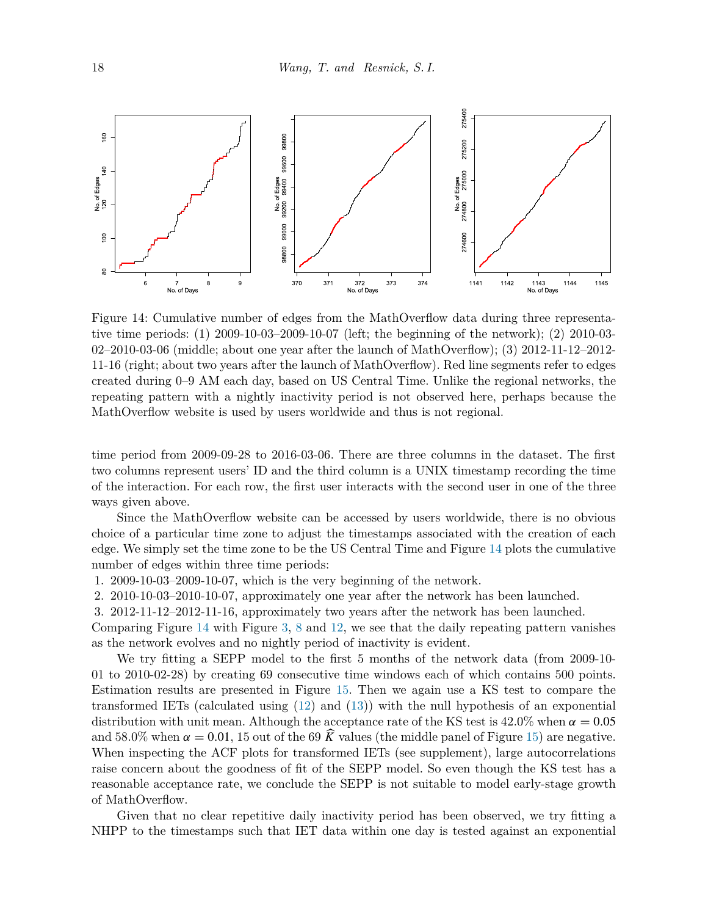

<span id="page-17-0"></span>Figure 14: Cumulative number of edges from the MathOverflow data during three representative time periods: (1) 2009-10-03–2009-10-07 (left; the beginning of the network); (2) 2010-03- 02–2010-03-06 (middle; about one year after the launch of MathOverflow); (3) 2012-11-12–2012- 11-16 (right; about two years after the launch of MathOverflow). Red line segments refer to edges created during 0–9 AM each day, based on US Central Time. Unlike the regional networks, the repeating pattern with a nightly inactivity period is not observed here, perhaps because the MathOverflow website is used by users worldwide and thus is not regional.

time period from 2009-09-28 to 2016-03-06. There are three columns in the dataset. The first two columns represent users' ID and the third column is a UNIX timestamp recording the time of the interaction. For each row, the first user interacts with the second user in one of the three ways given above.

Since the MathOverflow website can be accessed by users worldwide, there is no obvious choice of a particular time zone to adjust the timestamps associated with the creation of each edge. We simply set the time zone to be the US Central Time and Figure [14](#page-17-0) plots the cumulative number of edges within three time periods:

1. 2009-10-03–2009-10-07, which is the very beginning of the network.

2. 2010-10-03–2010-10-07, approximately one year after the network has been launched.

3. 2012-11-12–2012-11-16, approximately two years after the network has been launched.

Comparing Figure [14](#page-17-0) with Figure [3](#page-8-0), [8](#page-12-0) and [12,](#page-15-0) we see that the daily repeating pattern vanishes as the network evolves and no nightly period of inactivity is evident.

We try fitting a SEPP model to the first 5 months of the network data (from 2009-10- 01 to 2010-02-28) by creating 69 consecutive time windows each of which contains 500 points. Estimation results are presented in Figure [15.](#page-18-1) Then we again use a KS test to compare the transformed IETs (calculated using ([12\)](#page-6-4) and [\(13](#page-7-1))) with the null hypothesis of an exponential distribution with unit mean. Although the acceptance rate of the KS test is  $42.0\%$  when  $\alpha = 0.05$ and 58.0% when  $\alpha = 0.01$ , 15 out of the 69  $\hat{K}$  values (the middle panel of Figure [15\)](#page-18-1) are negative. When inspecting the ACF plots for transformed IETs (see supplement), large autocorrelations raise concern about the goodness of fit of the SEPP model. So even though the KS test has a reasonable acceptance rate, we conclude the SEPP is not suitable to model early-stage growth of MathOverflow.

Given that no clear repetitive daily inactivity period has been observed, we try fitting a NHPP to the timestamps such that IET data within one day is tested against an exponential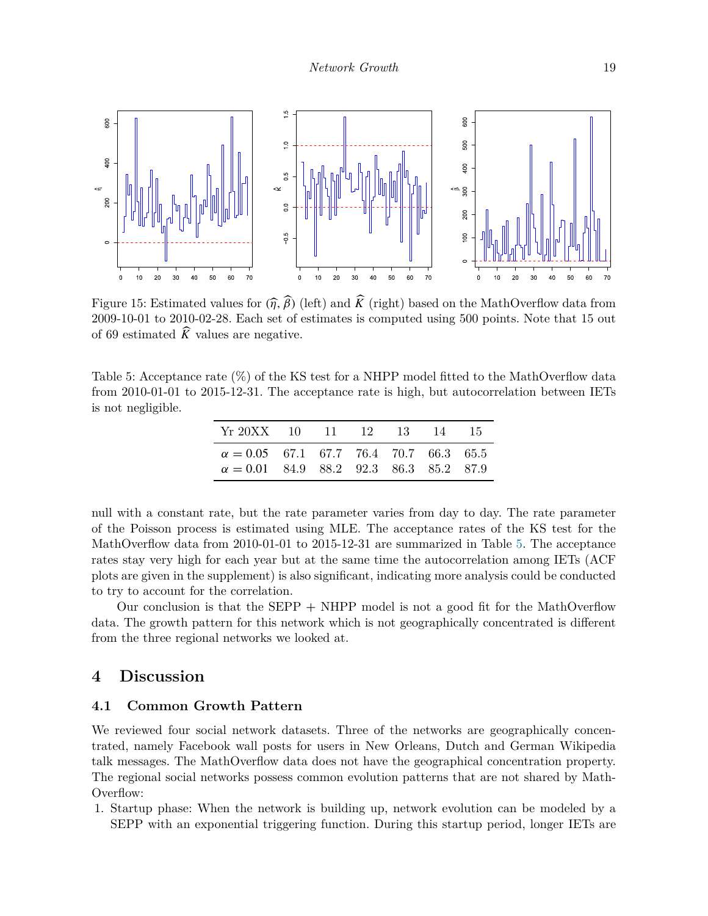

<span id="page-18-1"></span>Figure 15: Estimated values for  $(\hat{\eta}, \hat{\beta})$  (left) and  $\hat{K}$  (right) based on the MathOverflow data from 2009-10-01 to 2010-02-28. Each set of estimates is computed using 500 points. Note that 15 out of 69 estimated  $\widehat{K}$  values are negative.

<span id="page-18-2"></span>Table 5: Acceptance rate (%) of the KS test for a NHPP model fitted to the MathOverflow data from 2010-01-01 to 2015-12-31. The acceptance rate is high, but autocorrelation between IETs is not negligible.

| Yr 20XX 10 11 12 13 14 15                                                                      |  |  |  |
|------------------------------------------------------------------------------------------------|--|--|--|
| $\alpha = 0.05$ 67.1 67.7 76.4 70.7 66.3 65.5<br>$\alpha = 0.01$ 84.9 88.2 92.3 86.3 85.2 87.9 |  |  |  |

null with a constant rate, but the rate parameter varies from day to day. The rate parameter of the Poisson process is estimated using MLE. The acceptance rates of the KS test for the MathOverflow data from 2010-01-01 to 2015-12-31 are summarized in Table [5.](#page-18-2) The acceptance rates stay very high for each year but at the same time the autocorrelation among IETs (ACF plots are given in the supplement) is also significant, indicating more analysis could be conducted to try to account for the correlation.

Our conclusion is that the SEPP  $+$  NHPP model is not a good fit for the MathOverflow data. The growth pattern for this network which is not geographically concentrated is different from the three regional networks we looked at.

## <span id="page-18-0"></span>**4 Discussion**

### **4.1 Common Growth Pattern**

We reviewed four social network datasets. Three of the networks are geographically concentrated, namely Facebook wall posts for users in New Orleans, Dutch and German Wikipedia talk messages. The MathOverflow data does not have the geographical concentration property. The regional social networks possess common evolution patterns that are not shared by Math-Overflow:

1. Startup phase: When the network is building up, network evolution can be modeled by a SEPP with an exponential triggering function. During this startup period, longer IETs are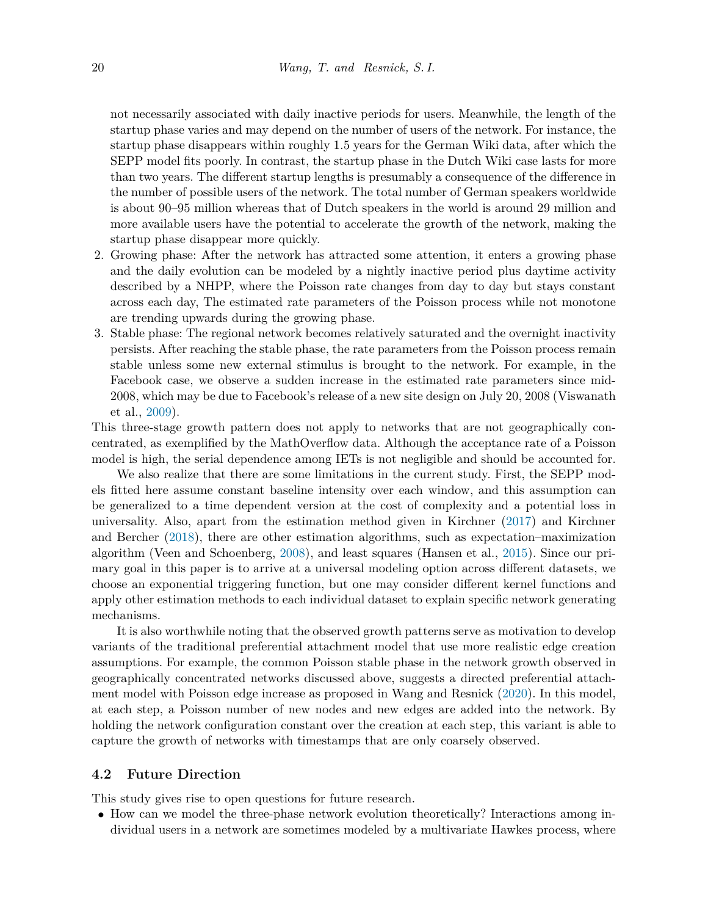not necessarily associated with daily inactive periods for users. Meanwhile, the length of the startup phase varies and may depend on the number of users of the network. For instance, the startup phase disappears within roughly 1.5 years for the German Wiki data, after which the SEPP model fits poorly. In contrast, the startup phase in the Dutch Wiki case lasts for more than two years. The different startup lengths is presumably a consequence of the difference in the number of possible users of the network. The total number of German speakers worldwide is about 90–95 million whereas that of Dutch speakers in the world is around 29 million and more available users have the potential to accelerate the growth of the network, making the startup phase disappear more quickly.

- 2. Growing phase: After the network has attracted some attention, it enters a growing phase and the daily evolution can be modeled by a nightly inactive period plus daytime activity described by a NHPP, where the Poisson rate changes from day to day but stays constant across each day, The estimated rate parameters of the Poisson process while not monotone are trending upwards during the growing phase.
- 3. Stable phase: The regional network becomes relatively saturated and the overnight inactivity persists. After reaching the stable phase, the rate parameters from the Poisson process remain stable unless some new external stimulus is brought to the network. For example, in the Facebook case, we observe a sudden increase in the estimated rate parameters since mid-2008, which may be due to Facebook's release of a new site design on July 20, 2008 (Viswanath et al., [2009](#page-22-13)).

This three-stage growth pattern does not apply to networks that are not geographically concentrated, as exemplified by the MathOverflow data. Although the acceptance rate of a Poisson model is high, the serial dependence among IETs is not negligible and should be accounted for.

We also realize that there are some limitations in the current study. First, the SEPP models fitted here assume constant baseline intensity over each window, and this assumption can be generalized to a time dependent version at the cost of complexity and a potential loss in universality. Also, apart from the estimation method given in Kirchner ([2017\)](#page-21-7) and Kirchner and Bercher [\(2018](#page-21-8)), there are other estimation algorithms, such as expectation–maximization algorithm (Veen and Schoenberg, [2008\)](#page-22-12), and least squares (Hansen et al., [2015\)](#page-21-17). Since our primary goal in this paper is to arrive at a universal modeling option across different datasets, we choose an exponential triggering function, but one may consider different kernel functions and apply other estimation methods to each individual dataset to explain specific network generating mechanisms.

It is also worthwhile noting that the observed growth patterns serve as motivation to develop variants of the traditional preferential attachment model that use more realistic edge creation assumptions. For example, the common Poisson stable phase in the network growth observed in geographically concentrated networks discussed above, suggests a directed preferential attachment model with Poisson edge increase as proposed in Wang and Resnick [\(2020](#page-22-7)). In this model, at each step, a Poisson number of new nodes and new edges are added into the network. By holding the network configuration constant over the creation at each step, this variant is able to capture the growth of networks with timestamps that are only coarsely observed.

#### <span id="page-19-0"></span>**4.2 Future Direction**

This study gives rise to open questions for future research.

• How can we model the three-phase network evolution theoretically? Interactions among individual users in a network are sometimes modeled by a multivariate Hawkes process, where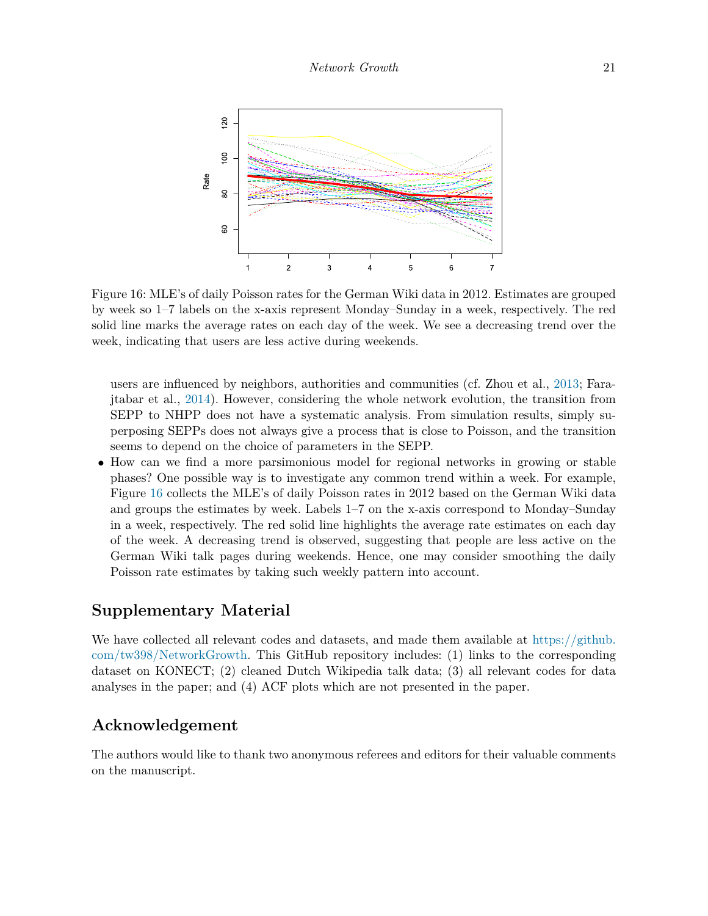

<span id="page-20-0"></span>Figure 16: MLE's of daily Poisson rates for the German Wiki data in 2012. Estimates are grouped by week so 1–7 labels on the x-axis represent Monday–Sunday in a week, respectively. The red solid line marks the average rates on each day of the week. We see a decreasing trend over the week, indicating that users are less active during weekends.

users are influenced by neighbors, authorities and communities (cf. Zhou et al., [2013;](#page-23-2) Farajtabar et al., [2014\)](#page-21-18). However, considering the whole network evolution, the transition from SEPP to NHPP does not have a systematic analysis. From simulation results, simply superposing SEPPs does not always give a process that is close to Poisson, and the transition seems to depend on the choice of parameters in the SEPP.

• How can we find a more parsimonious model for regional networks in growing or stable phases? One possible way is to investigate any common trend within a week. For example, Figure [16](#page-20-0) collects the MLE's of daily Poisson rates in 2012 based on the German Wiki data and groups the estimates by week. Labels 1–7 on the x-axis correspond to Monday–Sunday in a week, respectively. The red solid line highlights the average rate estimates on each day of the week. A decreasing trend is observed, suggesting that people are less active on the German Wiki talk pages during weekends. Hence, one may consider smoothing the daily Poisson rate estimates by taking such weekly pattern into account.

## **Supplementary Material**

We have collected all relevant codes and datasets, and made them available at [https://github.](https://github.com/tw398/NetworkGrowth) [com/tw398/NetworkGrowth.](https://github.com/tw398/NetworkGrowth) This GitHub repository includes: (1) links to the corresponding dataset on KONECT; (2) cleaned Dutch Wikipedia talk data; (3) all relevant codes for data analyses in the paper; and (4) ACF plots which are not presented in the paper.

## **Acknowledgement**

The authors would like to thank two anonymous referees and editors for their valuable comments on the manuscript.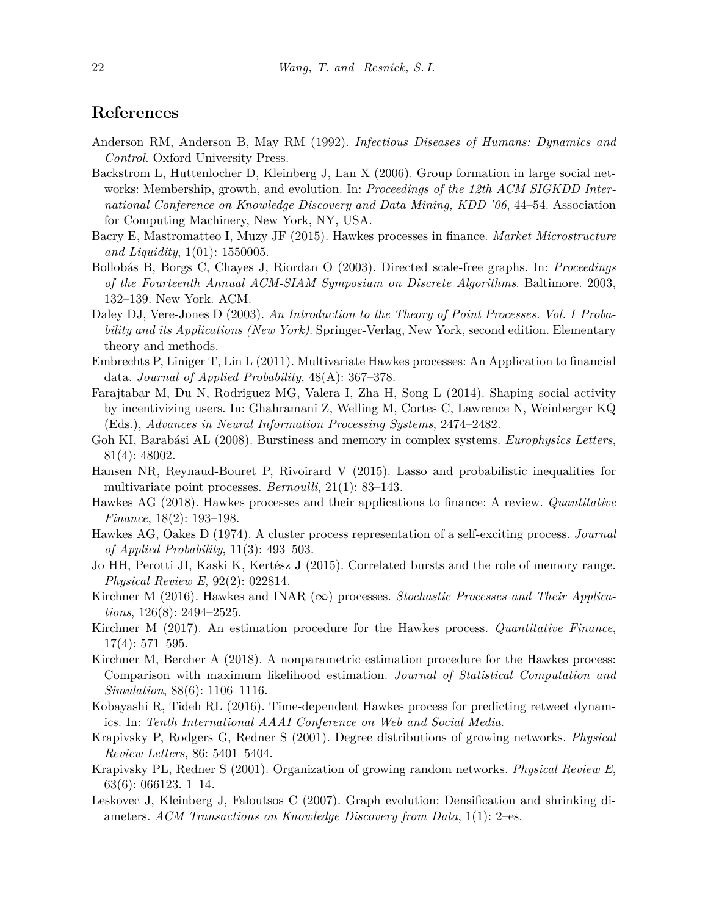# **References**

- <span id="page-21-6"></span>Anderson RM, Anderson B, May RM (1992). *Infectious Diseases of Humans: Dynamics and Control*. Oxford University Press.
- <span id="page-21-2"></span>Backstrom L, Huttenlocher D, Kleinberg J, Lan X (2006). Group formation in large social networks: Membership, growth, and evolution. In: *Proceedings of the 12th ACM SIGKDD International Conference on Knowledge Discovery and Data Mining, KDD '06*, 44–54. Association for Computing Machinery, New York, NY, USA.
- <span id="page-21-9"></span>Bacry E, Mastromatteo I, Muzy JF (2015). Hawkes processes in finance. *Market Microstructure and Liquidity*, 1(01): 1550005.
- <span id="page-21-3"></span>Bollobás B, Borgs C, Chayes J, Riordan O (2003). Directed scale-free graphs. In: *Proceedings of the Fourteenth Annual ACM-SIAM Symposium on Discrete Algorithms*. Baltimore. 2003, 132–139. New York. ACM.
- <span id="page-21-12"></span>Daley DJ, Vere-Jones D (2003). *An Introduction to the Theory of Point Processes. Vol. I Probability and its Applications (New York)*. Springer-Verlag, New York, second edition. Elementary theory and methods.
- <span id="page-21-11"></span>Embrechts P, Liniger T, Lin L (2011). Multivariate Hawkes processes: An Application to financial data. *Journal of Applied Probability*, 48(A): 367–378.
- <span id="page-21-18"></span>Farajtabar M, Du N, Rodriguez MG, Valera I, Zha H, Song L (2014). Shaping social activity by incentivizing users. In: Ghahramani Z, Welling M, Cortes C, Lawrence N, Weinberger KQ (Eds.), *Advances in Neural Information Processing Systems*, 2474–2482.
- <span id="page-21-16"></span>Goh KI, Barabási AL (2008). Burstiness and memory in complex systems. *Europhysics Letters*, 81(4): 48002.
- <span id="page-21-17"></span>Hansen NR, Reynaud-Bouret P, Rivoirard V (2015). Lasso and probabilistic inequalities for multivariate point processes. *Bernoulli*, 21(1): 83–143.
- <span id="page-21-10"></span>Hawkes AG (2018). Hawkes processes and their applications to finance: A review. *Quantitative Finance*, 18(2): 193–198.
- <span id="page-21-14"></span>Hawkes AG, Oakes D (1974). A cluster process representation of a self-exciting process. *Journal of Applied Probability*, 11(3): 493–503.
- <span id="page-21-15"></span>Jo HH, Perotti JI, Kaski K, Kertész J (2015). Correlated bursts and the role of memory range. *Physical Review E*, 92(2): 022814.
- <span id="page-21-13"></span>Kirchner M (2016). Hawkes and INAR (∞) processes. *Stochastic Processes and Their Applications*, 126(8): 2494–2525.
- <span id="page-21-7"></span>Kirchner M (2017). An estimation procedure for the Hawkes process. *Quantitative Finance*, 17(4): 571–595.
- <span id="page-21-8"></span>Kirchner M, Bercher A (2018). A nonparametric estimation procedure for the Hawkes process: Comparison with maximum likelihood estimation. *Journal of Statistical Computation and Simulation*, 88(6): 1106–1116.
- <span id="page-21-0"></span>Kobayashi R, Tideh RL (2016). Time-dependent Hawkes process for predicting retweet dynamics. In: *Tenth International AAAI Conference on Web and Social Media*.
- <span id="page-21-4"></span>Krapivsky P, Rodgers G, Redner S (2001). Degree distributions of growing networks. *Physical Review Letters*, 86: 5401–5404.
- <span id="page-21-5"></span>Krapivsky PL, Redner S (2001). Organization of growing random networks. *Physical Review E*, 63(6): 066123. 1–14.
- <span id="page-21-1"></span>Leskovec J, Kleinberg J, Faloutsos C (2007). Graph evolution: Densification and shrinking diameters. *ACM Transactions on Knowledge Discovery from Data*, 1(1): 2–es.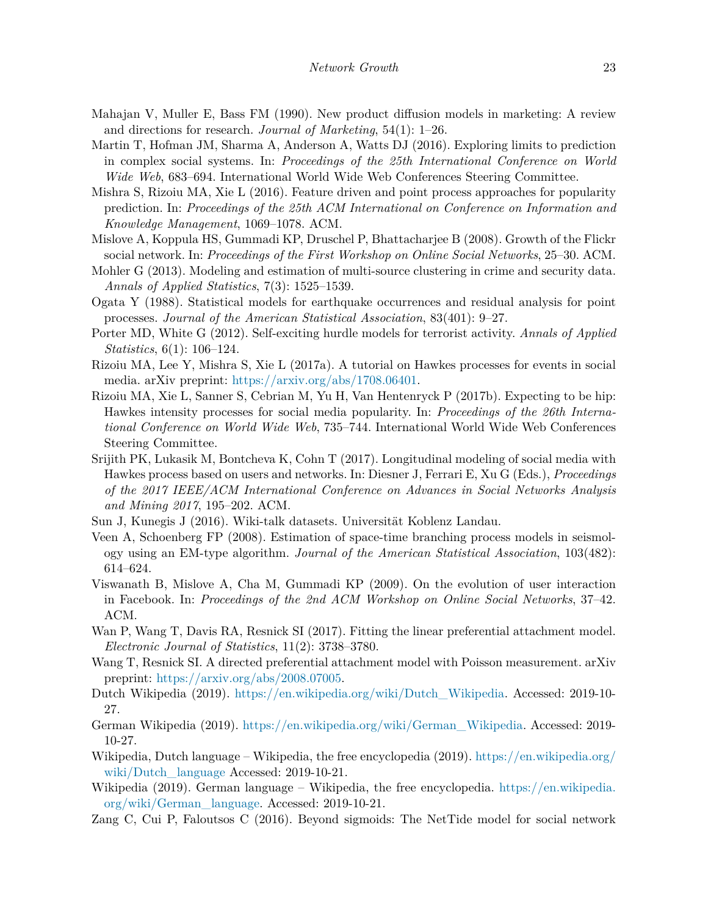- <span id="page-22-4"></span>Mahajan V, Muller E, Bass FM (1990). New product diffusion models in marketing: A review and directions for research. *Journal of Marketing*, 54(1): 1–26.
- <span id="page-22-2"></span>Martin T, Hofman JM, Sharma A, Anderson A, Watts DJ (2016). Exploring limits to prediction in complex social systems. In: *Proceedings of the 25th International Conference on World Wide Web*, 683–694. International World Wide Web Conferences Steering Committee.
- <span id="page-22-1"></span>Mishra S, Rizoiu MA, Xie L (2016). Feature driven and point process approaches for popularity prediction. In: *Proceedings of the 25th ACM International on Conference on Information and Knowledge Management*, 1069–1078. ACM.
- <span id="page-22-6"></span>Mislove A, Koppula HS, Gummadi KP, Druschel P, Bhattacharjee B (2008). Growth of the Flickr social network. In: *Proceedings of the First Workshop on Online Social Networks*, 25–30. ACM.
- <span id="page-22-11"></span>Mohler G (2013). Modeling and estimation of multi-source clustering in crime and security data. *Annals of Applied Statistics*, 7(3): 1525–1539.
- <span id="page-22-8"></span>Ogata Y (1988). Statistical models for earthquake occurrences and residual analysis for point processes. *Journal of the American Statistical Association*, 83(401): 9–27.
- <span id="page-22-10"></span>Porter MD, White G (2012). Self-exciting hurdle models for terrorist activity. *Annals of Applied Statistics*, 6(1): 106–124.
- <span id="page-22-9"></span>Rizoiu MA, Lee Y, Mishra S, Xie L (2017a). A tutorial on Hawkes processes for events in social media. arXiv preprint: [https://arxiv.org/abs/1708.06401.](https://arxiv.org/abs/1708.06401)
- <span id="page-22-0"></span>Rizoiu MA, Xie L, Sanner S, Cebrian M, Yu H, Van Hentenryck P (2017b). Expecting to be hip: Hawkes intensity processes for social media popularity. In: *Proceedings of the 26th International Conference on World Wide Web*, 735–744. International World Wide Web Conferences Steering Committee.
- <span id="page-22-3"></span>Srijith PK, Lukasik M, Bontcheva K, Cohn T (2017). Longitudinal modeling of social media with Hawkes process based on users and networks. In: Diesner J, Ferrari E, Xu G (Eds.), *Proceedings of the 2017 IEEE/ACM International Conference on Advances in Social Networks Analysis and Mining 2017*, 195–202. ACM.
- <span id="page-22-15"></span>Sun J, Kunegis J (2016). Wiki-talk datasets. Universität Koblenz Landau.
- <span id="page-22-12"></span>Veen A, Schoenberg FP (2008). Estimation of space-time branching process models in seismology using an EM-type algorithm. *Journal of the American Statistical Association*, 103(482): 614–624.
- <span id="page-22-13"></span>Viswanath B, Mislove A, Cha M, Gummadi KP (2009). On the evolution of user interaction in Facebook. In: *Proceedings of the 2nd ACM Workshop on Online Social Networks*, 37–42. ACM.
- <span id="page-22-14"></span>Wan P, Wang T, Davis RA, Resnick SI (2017). Fitting the linear preferential attachment model. *Electronic Journal of Statistics*, 11(2): 3738–3780.
- <span id="page-22-7"></span>Wang T, Resnick SI. A directed preferential attachment model with Poisson measurement. arXiv preprint: <https://arxiv.org/abs/2008.07005>.
- <span id="page-22-18"></span>Dutch Wikipedia (2019). [https://en.wikipedia.org/wiki/Dutch\\_Wikipedia](https://en.wikipedia.org/wiki/Dutch_Wikipedia). Accessed: 2019-10- 27.
- <span id="page-22-19"></span>German Wikipedia (2019). [https://en.wikipedia.org/wiki/German\\_Wikipedia](https://en.wikipedia.org/wiki/German_Wikipedia). Accessed: 2019- 10-27.
- <span id="page-22-17"></span>Wikipedia, Dutch language – Wikipedia, the free encyclopedia (2019). [https://en.wikipedia.org/](https://en.wikipedia.org/wiki/Dutch_language) wiki/Dutch language Accessed: 2019-10-21.
- <span id="page-22-16"></span>Wikipedia (2019). German language – Wikipedia, the free encyclopedia. [https://en.wikipedia.](https://en.wikipedia.org/wiki/German_language) [org/wiki/German\\_language](https://en.wikipedia.org/wiki/German_language). Accessed: 2019-10-21.
- <span id="page-22-5"></span>Zang C, Cui P, Faloutsos C (2016). Beyond sigmoids: The NetTide model for social network